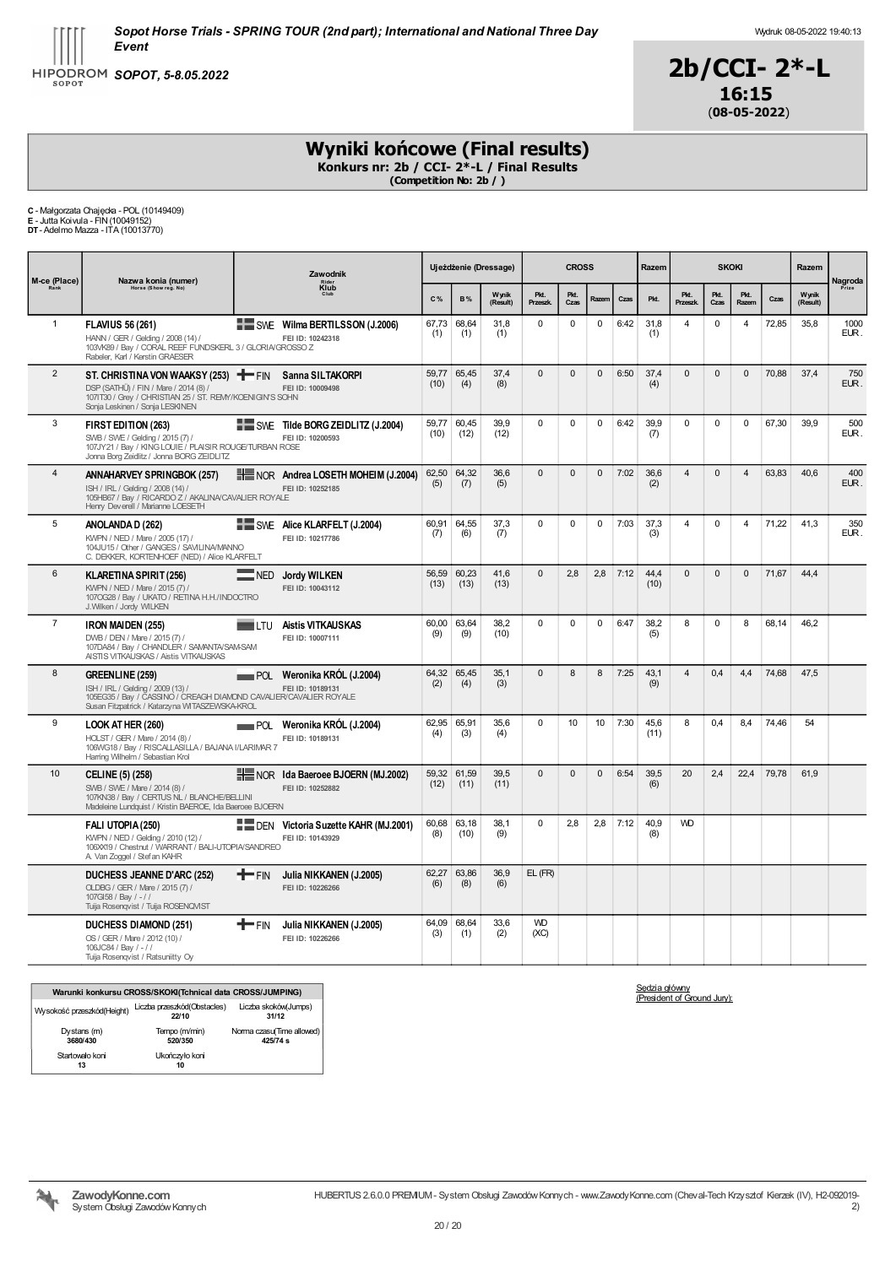### Wydruk: 08-05-2022 19:40:13



# Wyniki końcowe (Final results)

Konkurs nr: 2b / CCI- 2\*-L / Final Results (Competition No: 2b / )

C - Małgorzata Chajęcka - POL (10149409) E - Jutta Koivula - FIN(10049152) DT- Adelmo Mazza - ITA (10013770)

| M-ce (Place)   | Nazwa konia (numer)<br>Horse (Show reg. No)                                                                                                                                    |                                                              | Zawodnik |               |               | Ujeżdżenie (Dressage) |                   | <b>CROSS</b> |              |      | Razem        |                 | <b>SKOKI</b> |                |       | Razem             | Nagroda      |
|----------------|--------------------------------------------------------------------------------------------------------------------------------------------------------------------------------|--------------------------------------------------------------|----------|---------------|---------------|-----------------------|-------------------|--------------|--------------|------|--------------|-----------------|--------------|----------------|-------|-------------------|--------------|
|                |                                                                                                                                                                                | Klub<br>SWE Wilma BERTILSSON (J.2006)                        |          | C%            | <b>B%</b>     | Wynik<br>(Result)     | Pkt.<br>Przeszk.  | Pkt.<br>Czas | Razerr       | Czas | Pkt.         | Pkt.<br>Przeszk | Pkt.<br>Czas | Pkt.<br>Razem  | Czas  | Wynik<br>(Result) | Prize        |
| $\mathbf{1}$   | <b>FLAVIUS 56 (261)</b><br>HANN / GER / Gelding / 2008 (14) /<br>103VK89 / Bay / CORAL REEF FUNDSKERL 3 / GLORIA/GROSSO Z<br>Rabeler, Karl / Kerstin GRAESER                   | FEI ID: 10242318                                             |          | 67.73<br>(1)  | 68.64<br>(1)  | 31.8<br>(1)           | $\Omega$          | $\mathbf 0$  | 0            | 6:42 | 31.8<br>(1)  | 4               | $\mathbf 0$  | $\overline{4}$ | 72,85 | 35.8              | 1000<br>EUR. |
| $\overline{2}$ | ST. CHRISTINA VON WAAKSY (253) THE FIN<br>DSP (SATHÜ) / FIN / Mare / 2014 (8) /<br>1071T30 / Grey / CHRISTIAN 25 / ST. REMY/KOENIGIN'S SOHN<br>Sonja Leskinen / Sonja LESKINEN | Sanna SILTAKORPI<br>FEI ID: 10009498                         |          | 59,77<br>(10) | 65,45<br>(4)  | 37,4<br>(8)           | $\Omega$          | $\mathbf 0$  | $\mathbf{0}$ | 6:50 | 37,4<br>(4)  | $\mathbf{0}$    | $\mathbf{0}$ | $\mathbf{0}$   | 70,88 | 37,4              | 750<br>EUR.  |
| 3              | FIRST EDITION (263)<br>SWB / SWE / Gelding / 2015 (7) /<br>107JY21 / Bay / KING LOUIE / PLAISIR ROUGE/TURBAN ROSE<br>Jonna Borg Zeidlitz / Jonna BORG ZEIDLITZ                 | SWE Tilde BORG ZEI DLITZ (J.2004)<br>FEI ID: 10200593        |          | 59,77<br>(10) | 60,45<br>(12) | 39,9<br>(12)          | $\Omega$          | $\mathbf 0$  | $\mathbf 0$  | 6:42 | 39,9<br>(7)  | $\Omega$        | $\mathbf 0$  | $\mathbf 0$    | 67,30 | 39.9              | 500<br>EUR.  |
| $\overline{4}$ | ANNAHARVEY SPRINGBOK (257)<br>ISH / IRL / Gelding / 2008 (14) /<br>105HB67 / Bay / RICARDO Z / AKALINA/CAVALIER ROYALE<br>Henry Deverell / Marianne LOESETH                    | NOR Andrea LOSETH MOHEIM (J.2004)<br>FEI ID: 10252185        |          | 62,50<br>(5)  | 64,32<br>(7)  | 36.6<br>(5)           | $\Omega$          | $\Omega$     | $\Omega$     | 7:02 | 36.6<br>(2)  | $\overline{4}$  | $\Omega$     | $\overline{4}$ | 63,83 | 40.6              | 400<br>EUR.  |
| 5              | ANOLANDA D (262)<br>KWPN / NED / Mare / 2005 (17) /<br>104JU15 / Other / GANGES / SAVILINA/MANNO<br>C. DEKKER, KORTENHOEF (NED) / Alice KLARFELT                               | SWE Alice KLARFELT (J.2004)<br>FEI ID: 10217786              |          | 60,91<br>(7)  | 64,55<br>(6)  | 37,3<br>(7)           | $\mathbf 0$       | $\mathbf 0$  | $\mathbf 0$  | 7:03 | 37,3<br>(3)  | 4               | $\mathbf 0$  | $\overline{4}$ | 71,22 | 41,3              | 350<br>EUR.  |
| 6              | <b>KLARETINA SPIRIT (256)</b><br>KWPN / NED / Mare / 2015 (7) /<br>107OG28 / Bay / UKATO / RETINA H.H./INDOCTRO<br>J. Wilken / Jordy WILKEN                                    | <b>Jordy WILKEN</b><br>$\equiv$ NED<br>FEI ID: 10043112      |          | 56.59<br>(13) | 60.23<br>(13) | 41,6<br>(13)          | $\Omega$          | 2.8          | 2,8          | 7:12 | 44.4<br>(10) | $\Omega$        | $\Omega$     | $\mathbf{0}$   | 71.67 | 44.4              |              |
| $\overline{7}$ | <b>IRON MAIDEN (255)</b><br>DWB / DEN / Mare / 2015 (7) /<br>107DA84 / Bay / CHANDLER / SAMANTA/SAM-SAM<br>AISTIS VITKAUSKAS / Aistis VITKAUSKAS                               | <b>Aistis VITKAUSKAS</b><br><b>TILTU</b><br>FEI ID: 10007111 |          | 60,00<br>(9)  | 63,64<br>(9)  | 38,2<br>(10)          | $\Omega$          | $\mathbf 0$  | $\mathbf 0$  | 6:47 | 38,2<br>(5)  | 8               | $\Omega$     | 8              | 68,14 | 46,2              |              |
| 8              | GREENLINE (259)<br>ISH / IRL / Gelding / 2009 (13) /<br>105EG35 / Bay / CASSINO / CREAGH DIAMOND CAVALIER/CAVALIER ROYALE<br>Susan Fitzpatrick / Katarzyna WITASZEWSKA-KROL    | Weronika KRÓL (J.2004)<br>POL<br>FEI ID: 10189131            |          | 64,32<br>(2)  | 65.45<br>(4)  | 35,1<br>(3)           | $\mathbf 0$       | 8            | 8            | 7:25 | 43.1<br>(9)  | $\overline{4}$  | 0.4          | 4,4            | 74,68 | 47,5              |              |
| 9              | LOOK AT HER (260)<br>HOLST / GER / Mare / 2014 (8) /<br>106WG18 / Bay / RISCALLASILLA / BAJANA I/LARIMAR 7<br>Harring Wilhelm / Sebastian Krol                                 | Weronika KRÓL (J.2004)<br>POL<br>FEI ID: 10189131            |          | 62.95<br>(4)  | 65.91<br>(3)  | 35.6<br>(4)           | $\Omega$          | 10           | 10           | 7:30 | 45.6<br>(11) | 8               | 0.4          | 8.4            | 74.46 | 54                |              |
| 10             | <b>CELINE (5) (258)</b><br>SWB / SWE / Mare / 2014 (8) /<br>107KN38 / Bay / CERTUS NL / BLANCHE/BELLINI<br>Madeleine Lundquist / Kristin BAEROE, Ida Baeroee BJOERN            | NOR Ida Baeroee BJOERN (MJ.2002)<br>FEI ID: 10252882         |          | 59,32<br>(12) | 61.59<br>(11) | 39.5<br>(11)          | $\Omega$          | $\mathbf 0$  | $\mathbf{0}$ | 6:54 | 39.5<br>(6)  | 20              | 2.4          | 22,4           | 79,78 | 61,9              |              |
|                | FALI UTOPIA (250)<br>KWPN / NED / Gelding / 2010 (12) /<br>106XX19 / Chestnut / WARRANT / BALI-UTOPIA/SANDREO<br>A Van Zoggel / Stefan KAHR                                    | DEN Victoria Suzette KAHR (MJ.2001)<br>FEI ID: 10143929      |          | 60,68<br>(8)  | 63,18<br>(10) | 38,1<br>(9)           | $\Omega$          | 2,8          | 2,8          | 7:12 | 40,9<br>(8)  | <b>WD</b>       |              |                |       |                   |              |
|                | <b>DUCHESS JEANNE D'ARC (252)</b><br>OLDBG / GER / Mare / 2015 (7) /<br>107GI58 / Bay / -//<br>Tuija Rosenqvist / Tuija ROSENQVIST                                             | <b>T</b> FIN<br>Julia NIKKANEN (J.2005)<br>FEI ID: 10226266  |          | 62.27<br>(6)  | 63.86<br>(8)  | 36.9<br>(6)           | EL (FR)           |              |              |      |              |                 |              |                |       |                   |              |
|                | <b>DUCHESS DIAMOND (251)</b><br>OS / GER / Mare / 2012 (10) /<br>106JC84 / Bay / -//<br>Tuija Rosenqvist / Ratsuniitty Oy                                                      | — FIN<br>Julia NIKKANEN (J.2005)<br>FEI ID: 10226266         |          | 64.09<br>(3)  | 68.64<br>(1)  | 33.6<br>(2)           | <b>WD</b><br>(XC) |              |              |      |              |                 |              |                |       |                   |              |

|                            | Warunki konkursu CROSS/SKOKI(Tchnical data CROSS/JUMPING) |                                       |
|----------------------------|-----------------------------------------------------------|---------------------------------------|
| Wysokość przeszkód(Height) | Liczba przeszkód(Obstacles)<br>22/10                      | Liczba skoków(Jumps)<br>31/12         |
| Dystans (m)<br>3680/430    | Tempo (m/min)<br>520/350                                  | Norma czasu(Time allowed)<br>425/74 s |
| Startowało koni<br>13      | Ukończyło koni<br>10                                      |                                       |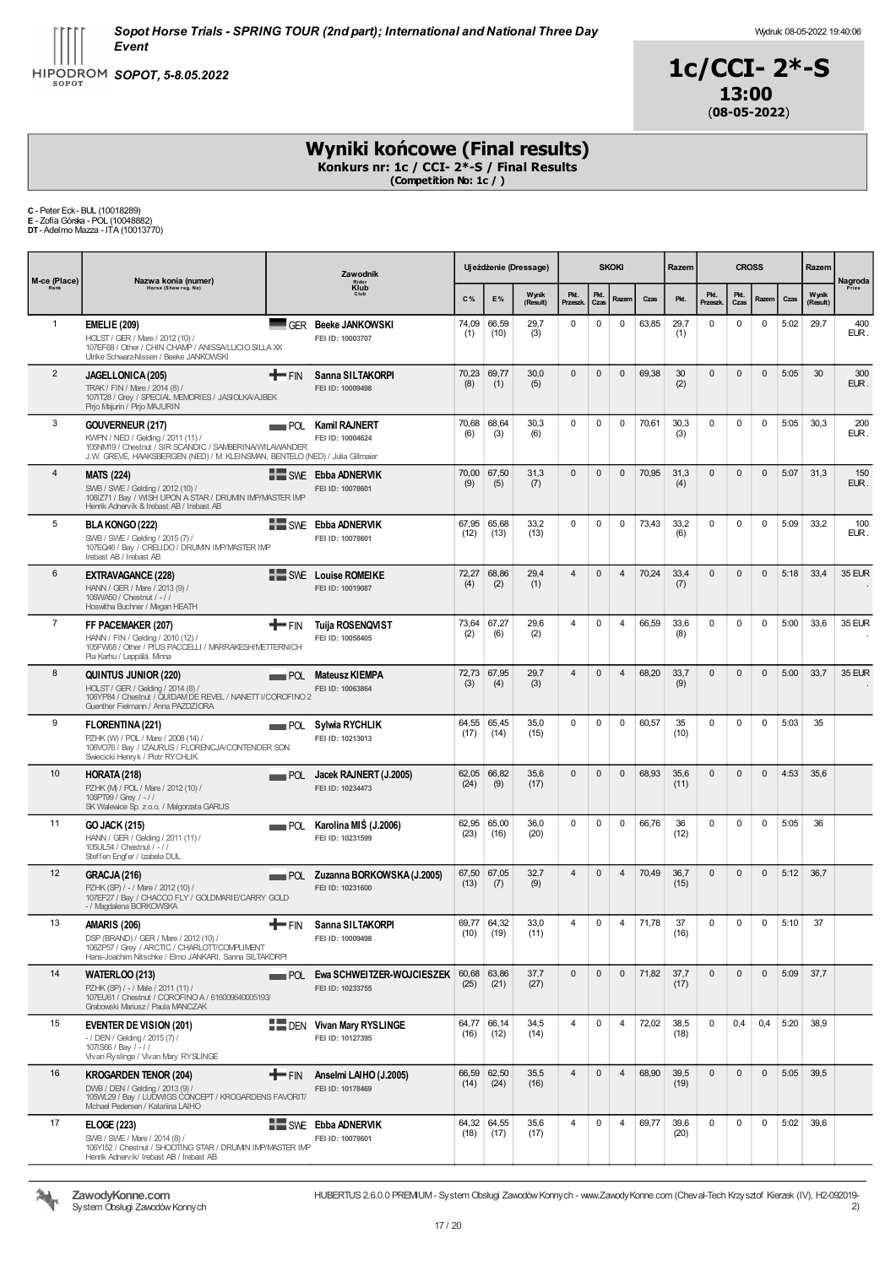



# Wyniki końcowe (Final results)

Konkurs nr: 1c / CCI- 2\*-S / Final Results (Competition No: 1c / )

C - Peter Eck- BUL (10018289) E - Zofia Górska - POL (10048882) DT- Adelmo Mazza - ITA (10013770)

| M-ce (Place)   | Nazwa konia (numer)                                                                                                                                                                               | Zawodnik<br>Rider<br>Klub<br>Club<br>$C\%$ |                                                          |               | Uj eżdżenie (Dressage) |                   |                        | <b>SKOKI</b> |                | Razem | <b>CROSS</b> |                  |              |              | Razem | Nagroda           |               |
|----------------|---------------------------------------------------------------------------------------------------------------------------------------------------------------------------------------------------|--------------------------------------------|----------------------------------------------------------|---------------|------------------------|-------------------|------------------------|--------------|----------------|-------|--------------|------------------|--------------|--------------|-------|-------------------|---------------|
| Rank           | Horse (Show reg. No)                                                                                                                                                                              |                                            |                                                          |               | E%                     | Wynik<br>(Result) | Pkt.<br><b>Przeszk</b> | Pkt.<br>Czas | Razem          | Czas  | Pkt.         | Pkt.<br>Przeszk. | Pkt.<br>Czas | Razem        | Czas  | Wynik<br>(Result) | Prize         |
| $\mathbf{1}$   | <b>EMELIE (209)</b><br>HOLST / GER / Mare / 2012 (10) /<br>107EF68 / Other / CHIN CHAMP / ANISSA/LUCIO SILLA XX<br>Ulrike Schwarz-Nissen / Beeke JANKOWSKI                                        | ■GER                                       | <b>Beeke JANKOWSKI</b><br>FEI ID: 10003707               | 74,09<br>(1)  | 66,59<br>(10)          | 29,7<br>(3)       | $\mathbf 0$            | $\mathbf 0$  | $\mathbf 0$    | 63,85 | 29,7<br>(1)  | $\mathbf 0$      | $\mathbf 0$  | $\mathbf 0$  | 5:02  | 29,7              | 400<br>EUR.   |
| 2              | JAGELLONICA (205)<br>TRAK / FIN / Mare / 2014 (8) /<br>1071T28 / Grey / SPECIAL MEMORIES / JASIOLKA/AJBEK<br>Pirjo Majurin / Pirjo MAJURIN                                                        | $+$ FIN                                    | Sanna SILTAKORPI<br>FEI ID: 10009498                     | 70,23<br>(8)  | 69,77<br>(1)           | 30,0<br>(5)       | $\mathbf{0}$           | $\mathbf{0}$ | $\mathbf{0}$   | 69,38 | 30<br>(2)    | $\mathbf 0$      | $\mathbf{0}$ | $\mathbf{0}$ | 5:05  | 30                | 300<br>EUR.   |
| 3              | GOUVERNEUR (217)<br>KWPN / NED / Gelding / 2011 (11) /<br>105NM19 / Chestnut / SIR SCANDIC / SAMBERINA/WILAWANDER<br>J.W. GREVE, HAAKSBERGEN (NED) / M. KLEINSMAN, BENTELO (NED) / Julia Gilmaier | $\blacksquare$ POL                         | <b>Kamil RAJNERT</b><br>FEI ID: 10004624                 | 70,68<br>(6)  | 68,64<br>(3)           | 30,3<br>(6)       | $\mathbf 0$            | $\mathbf 0$  | $\mathbf 0$    | 70,61 | 30,3<br>(3)  | $\mathbf 0$      | $\mathbf 0$  | $\mathbf 0$  | 5:05  | 30,3              | 200<br>EUR.   |
| 4              | <b>MATS (224)</b><br>SWB / SWE / Gelding / 2012 (10) /<br>106IZ71 / Bay / WISH UPON A STAR / DRUMN IMP/MASTER IMP<br>Henrik Adnervik & Irebast AB / Irebast AB                                    |                                            | <b>EXAMPLE Ebba ADNERVIK</b><br>FEI ID: 10078601         | 70.00<br>(9)  | 67,50<br>(5)           | 31,3<br>(7)       | $\mathbf{0}$           | $\mathbf 0$  | $\mathbf{0}$   | 70,95 | 31,3<br>(4)  | $\mathbf 0$      | $\mathbf{0}$ | $\mathbf{0}$ | 5:07  | 31,3              | 150<br>EUR.   |
| 5              | BLA KONGO (222)<br>SWB / SWE / Gelding / 2015 (7) /<br>107EQ46 / Bay / CRELIDO / DRUMN IMP/MASTER IMP<br>Irebast AB / Irebast AB                                                                  |                                            | <b>EXAMPLE Ebba ADNERVIK</b><br>FEI ID: 10078601         | 67,95<br>(12) | 65.68<br>(13)          | 33.2<br>(13)      | $\mathbf 0$            | $\mathbf 0$  | 0              | 73,43 | 33,2<br>(6)  | $\mathbf 0$      | $\mathbf 0$  | $\mathbf 0$  | 5:09  | 33,2              | 100<br>EUR.   |
| 6              | <b>EXTRAVAGANCE (228)</b><br>HANN / GER / Mare / 2013 (9) /<br>106WA50 / Chestnut / -//<br>Hoswitha Buchner / Megan HEATH                                                                         |                                            | SWE Louise ROMEIKE<br>FEI ID: 10019087                   | 72,27<br>(4)  | 68,86<br>(2)           | 29,4<br>(1)       | 4                      | $\mathbf 0$  | $\overline{4}$ | 70,24 | 33,4<br>(7)  | $\mathbf 0$      | $\mathbf{0}$ | $\mathbf{0}$ | 5:18  | 33,4              | <b>35 EUR</b> |
| $\overline{7}$ | FF PACEMAKER (207)<br>HANN / FIN / Gelding / 2010 (12) /<br>105FW68 / Other / PIUS PACCELLI / MARRAKESH/METTERNICH<br>Pia Karhu / Leppälä, Minna                                                  | +FIN                                       | <b>Tuija ROSENQVIST</b><br>FEI ID: 10058405              | (2)           | 73,64 67,27<br>(6)     | 29,6<br>(2)       | $\overline{4}$         | $\mathbf 0$  | $\overline{4}$ | 66,59 | 33,6<br>(8)  | $\mathbf 0$      | $\mathbf 0$  | $\mathbf 0$  | 5:00  | 33,6              | <b>35 EUR</b> |
| 8              | QUINTUS JUNIOR (220)<br>HOLST / GER / Gelding / 2014 (8) /<br>106YP84 / Chestnut / QUIDAM DE REVEL / NANETT I/COROFINO 2<br>Guenther Fielmann / Anna PAZDZIORA                                    |                                            | <b>POL Mateusz KIEMPA</b><br>FEI ID: 10063864            | 72,73<br>(3)  | 67,95<br>(4)           | 29,7<br>(3)       | $\overline{4}$         | $\mathbf 0$  | $\overline{4}$ | 68,20 | 33,7<br>(9)  | $\mathbf 0$      | $\mathbf{0}$ | $\mathbf{0}$ | 5:00  | 33,7              | <b>35 EUR</b> |
| 9              | FLORENTINA (221)<br>PZHK (W) / POL / Mare / 2008 (14) /<br>106VO76 / Bay / IZAURUS / FLORENCJA/CONTENDER SON<br>Swiecicki Henryk / Piotr RYCHLIK                                                  | <b>POL</b>                                 | Sylwia RYCHLIK<br>FEI ID: 10213013                       | 64,55<br>(17) | 65,45<br>(14)          | 35,0<br>(15)      | $\mathbf 0$            | $\mathbf 0$  | 0              | 60,57 | 35<br>(10)   | $\mathbf 0$      | 0            | 0            | 5:03  | 35                |               |
| 10             | HORATA (218)<br>PZHK (M) / POL / Mare / 2012 (10) /<br>106PT99 / Grey / -//<br>SK Walewice Sp. z o.o. / Malgorzata GARUS                                                                          | POL                                        | Jacek RAJNERT (J.2005)<br>FEI ID: 10234473               | 62,05<br>(24) | 66,82<br>(9)           | 35.6<br>(17)      | $\mathbf{0}$           | $\mathbf{0}$ | $\mathbf{0}$   | 68,93 | 35.6<br>(11) | $\mathbf{0}$     | $\mathbf{0}$ | $\mathbf 0$  | 4:53  | 35,6              |               |
| 11             | <b>GO JACK (215)</b><br>HANN / GER / Gelding / 2011 (11) /<br>105UL54 / Chestnut / - / /<br>Steffen Engfer / Izabela DUL                                                                          | POL                                        | Karolina MIS (J.2006)<br>FEI ID: 10231599                | (23)          | 62,95 65,00<br>(16)    | 36,0<br>(20)      | $\mathbf 0$            | $\mathbf 0$  | 0              | 66,76 | 36<br>(12)   | $\mathbf 0$      | 0            | 0            | 5:05  | 36                |               |
| 12             | GRACJA (216)<br>PZHK (SP) / - / Mare / 2012 (10) /<br>107EF27 / Bay / CHACCO FLY / GOLDMARIE/CARRY GOLD<br>- / Magdalena BORKOWSKA                                                                |                                            | POL Zuzanna BORKOWSKA (J.2005)<br>FEI ID: 10231600       | (13)          | 67,50 67,05<br>(7)     | 32,7<br>(9)       | $\overline{4}$         | $\mathbf{0}$ | $\overline{4}$ | 70,49 | 36,7<br>(15) | $\Omega$         | $\mathbf{0}$ | $\mathbf{0}$ | 5:12  | 36,7              |               |
| 13             | <b>AMARIS (206)</b><br>DSP (BRAND) / GER / Mare / 2012 (10) /<br>106ZP57 / Grey / ARCTIC / CHARLOTT/COMPLIMENT<br>Hans-Joachim Nitschke / Elmo JANKARI, Sanna SILTAKORPI                          | a.                                         | FIN Sanna SILTAKORPI<br>FEI ID: 10009498                 | 69,77<br>(10) | 64,32<br>(19)          | 33,0<br>(11)      | $\overline{4}$         | $\Omega$     | $\overline{4}$ | 71,78 | 37<br>(16)   | $\Omega$         | $\mathbf 0$  | 0            | 5:10  | 37                |               |
| 14             | <b>WATERLOO (213)</b><br>PZHK (SP) / - / Male / 2011 (11) /<br>107EU61 / Chestnut / COROFINO A / 616009640005193/<br>Grabowski Mariusz / Paula MANCZAK                                            |                                            | <b>POL Ewa SCHWEITZER-WOJCIESZEK</b><br>FEI ID: 10233755 | (25)          | 60,68 63,86<br>(21)    | 37,7<br>(27)      | $\mathbf{0}$           | $\mathbf{0}$ | $\mathbf{0}$   | 71,82 | 37,7<br>(17) | $\mathbf{0}$     | $\mathbf{0}$ | $\mathbf{0}$ |       | 5:09 37,7         |               |
| 15             | <b>EVENTER DE VISION (201)</b><br>- / DEN / Gelding / 2015 (7) /<br>1071S66 / Bay / -//<br>Vivan Ryslinge / Vivan Mary RYSLINGE                                                                   |                                            | <b>DEN Vivan Mary RYSLINGE</b><br>FEI ID: 10127395       | (16)          | 64,77 66,14<br>(12)    | 34,5<br>(14)      | 4                      | 0            | $\overline{4}$ | 72,02 | 38.5<br>(18) | $\mathbf 0$      | 0,4          | 0,4          | 5:20  | 38,9              |               |
| 16             | <b>KROGARDEN TENOR (204)</b><br>DWB / DEN / Gelding / 2013 (9) /<br>105WL29 / Bay / LUDWIGS CONCEPT / KROGARDENS FAVORIT/<br>Mchael Pedersen / Katariina LAIHO                                    | $+$ FIN                                    | Anselmi LAIHO (J.2005)<br>FEI ID: 10178469               | (14)          | 66,59 62,50<br>(24)    | 35,5<br>(16)      | $\overline{4}$         | $\mathbf{0}$ | $\overline{4}$ | 68,90 | 39,5<br>(19) | $\mathbf{0}$     | $\mathbf{0}$ | $\mathbf{0}$ | 5:05  | 39,5              |               |
| 17             | <b>ELOGE (223)</b><br>SWB / SWE / Mare / 2014 (8) /<br>106Y152 / Chestnut / SHOOTING STAR / DRUMIN IMP/MASTER IMP<br>Henrik Adnervik/ Irebast AB / Irebast AB                                     |                                            | <b>NEW SWE Ebba ADNERVIK</b><br>FEI ID: 10078601         | (18)          | 64,32 64,55<br>(17)    | 35,6<br>(17)      | $\overline{4}$         | 0            | 4              | 69,77 | 39,6<br>(20) | $\mathbf 0$      | $\mathbf 0$  | 0            | 5:02  | 39,6              |               |



ZawodyKonne.com System Obsługi Zawodów Konnych HUBERTUS 2.6.0.0 PREMIUM- System Obsługi ZawodówKonnych - www.ZawodyKonne.com (Cheval-Tech Krzysztof Kierzek (IV), H2-092019-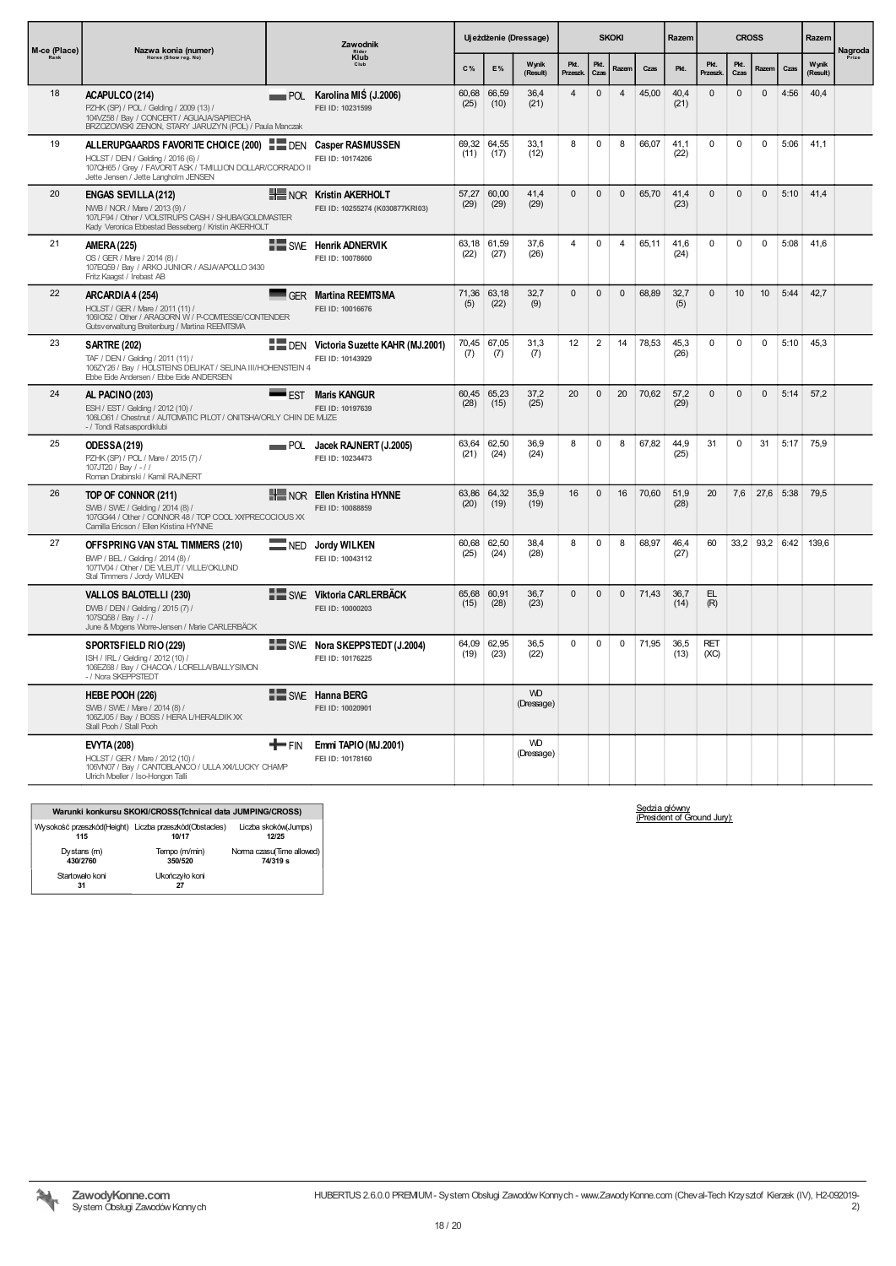| Zawodnik<br>M-ce (Place)<br>Nazwa konia (numer)<br>Klub<br>Horse (Show reg. No) |                                                                                                                                                                                                      | Uj eżdżenie (Dressage) |                                                                           |               | <b>SKOKI</b>  |                         |                        | Razem          | <b>CROSS</b>   |       |              | Razem              |              |                |      |                   |                  |
|---------------------------------------------------------------------------------|------------------------------------------------------------------------------------------------------------------------------------------------------------------------------------------------------|------------------------|---------------------------------------------------------------------------|---------------|---------------|-------------------------|------------------------|----------------|----------------|-------|--------------|--------------------|--------------|----------------|------|-------------------|------------------|
|                                                                                 |                                                                                                                                                                                                      |                        |                                                                           | C%            | E%            | Wynik<br>(Result)       | Pkt.<br><b>Przeszk</b> | Pkt.<br>Czas   | Razem          | Czas  | Pkt.         | Pkt.<br>Przeszk    | Pkt.<br>Czas | Razem          | Czas | Wynik<br>(Result) | Nagroda<br>Prize |
| 18                                                                              | ACAPULCO (214)<br>PZHK (SP) / POL / Gelding / 2009 (13) /<br>104VZ58 / Bay / CONCERT / AGUAJA/SAPIECHA<br>BRZOZOWSKI ZENON, STARY JARUZYN (POL) / Paula Manczak                                      |                        | POL Karolina MIŚ (J.2006)<br>FEI ID: 10231599                             | 60,68<br>(25) | 66,59<br>(10) | 36,4<br>(21)            | $\overline{4}$         | $\mathbf{0}$   | $\overline{4}$ | 45,00 | 40,4<br>(21) | $\mathbf{0}$       | $\mathbf{0}$ | $\mathbf{0}$   | 4:56 | 40,4              |                  |
| 19                                                                              | ALLERUPGAARDS FAVORITE CHOICE (200) DEN Casper RASMUSSEN<br>HOLST / DEN / Gelding / 2016 (6) /<br>107QH65 / Grey / FAVORIT ASK / T-MILLION DOLLAR/CORRADO II<br>Jette Jensen / Jette Langholm JENSEN |                        | FEI ID: 10174206                                                          | 69,32<br>(11) | 64,55<br>(17) | 33,1<br>(12)            | 8                      | $\mathbf 0$    | 8              | 66,07 | 41,1<br>(22) | $\mathbf 0$        | $\mathbf 0$  | $\mathbf 0$    | 5:06 | 41,1              |                  |
| 20                                                                              | <b>ENGAS SEVILLA (212)</b><br>NWB / NOR / Mare / 2013 (9) /<br>107LF94 / Other / VOLSTRUPS CASH / SHUBA/GOLDMASTER<br>Kady Veronica Ebbestad Besseberg / Kristin AKERHOLT                            |                        | <b>HE NOR Kristin AKERHOLT</b><br>FEI ID: 10255274 (K030877KRI03)         | 57,27<br>(29) | 60,00<br>(29) | 41,4<br>(29)            | $\mathsf 0$            | $\mathbf 0$    | $\pmb{0}$      | 65,70 | 41,4<br>(23) | $\mathbf 0$        | $\mathbf{0}$ | $\mathbf 0$    | 5:10 | 41,4              |                  |
| 21                                                                              | <b>AMERA (225)</b><br>OS / GER / Mare / 2014 (8) /<br>107EQ59 / Bay / ARKO JUNIOR / ASJA/APOLLO 3430<br>Fritz Kaagst / Irebast AB                                                                    |                        | SWE Henrik ADNERVIK<br>FEI ID: 10078600                                   | 63,18<br>(22) | 61,59<br>(27) | 37,6<br>(26)            | $\overline{4}$         | $\mathbf 0$    | $\overline{4}$ | 65,11 | 41,6<br>(24) | $\Omega$           | $\Omega$     | $\Omega$       | 5:08 | 41,6              |                  |
| 22                                                                              | ARCARDIA 4 (254)<br>HOLST / GER / Mare / 2011 (11) /<br>1061052 / Other / ARAGORN W / P-COMTESSE/CONTENDER<br>Gutsverwaltung Breitenburg / Martina REEMTSMA                                          |                        | <b>GER</b> Martina REEMTSMA<br>FEI ID: 10016676                           | 71,36<br>(5)  | 63,18<br>(22) | 32,7<br>(9)             | $\mathbf{0}$           | $\mathbf{0}$   | $\mathbf{0}$   | 68,89 | 32,7<br>(5)  | $\mathbf{0}$       | 10           | 10             | 5:44 | 42,7              |                  |
| 23                                                                              | <b>SARTRE (202)</b><br>TAF / DEN / Gelding / 2011 (11) /<br>106ZY26 / Bay / HOLSTEINS DELIKAT / SELINA III/HOHENSTEIN 4<br>Ebbe Eide Andersen / Ebbe Eide ANDERSEN                                   |                        | <b>DEN</b> Victoria Suzette KAHR (MJ.2001)<br>FEI ID: 10143929            | 70,45<br>(7)  | 67,05<br>(7)  | 31,3<br>(7)             | 12                     | $\overline{2}$ | 14             | 78,53 | 45,3<br>(26) | $\mathbf 0$        | $\mathbf 0$  | $\mathbf 0$    | 5:10 | 45,3              |                  |
| 24                                                                              | AL PACINO (203)<br>ESH / EST / Gelding / 2012 (10) /<br>106LO61 / Chestnut / AUTOMATIC PILOT / ONITSHA/ORLY CHIN DE MUZE<br>- / Tondi Ratsaspordiklubi                                               | $\blacksquare$ EST     | <b>Maris KANGUR</b><br>FEI ID: 10197639                                   | 60,45<br>(28) | 65,23<br>(15) | 37,2<br>(25)            | 20                     | $\mathsf 0$    | 20             | 70,62 | 57,2<br>(29) | $\mathbf 0$        | $\mathbf{0}$ | $\mathbf{0}$   | 5:14 | 57,2              |                  |
| 25                                                                              | ODESSA (219)<br>PZHK (SP) / POL / Mare / 2015 (7) /<br>107JT20 / Bay / -//<br>Roman Drabinski / Kamil RAJNERT                                                                                        |                        | POL Jacek RAJNERT (J.2005)<br>FEI ID: 10234473                            | 63.64<br>(21) | 62.50<br>(24) | 36.9<br>(24)            | 8                      | $\mathbf 0$    | 8              | 67.82 | 44.9<br>(25) | 31                 | $\mathbf 0$  | 31             | 5:17 | 75,9              |                  |
| 26                                                                              | TOP OF CONNOR (211)<br>SWB / SWE / Gelding / 2014 (8) /<br>107GG44 / Other / CONNOR 48 / TOP COOL XXIPRECOCIOUS XX<br>Camilla Ericson / Ellen Kristina HYNNE                                         |                        | NOR Ellen Kristina HYNNE<br>FEI ID: 10088859                              | 63.86<br>(20) | 64,32<br>(19) | 35,9<br>(19)            | 16                     | $\mathbf{0}$   | 16             | 70.60 | 51,9<br>(28) | 20                 | 7,6          | 27,6 5:38      |      | 79,5              |                  |
| 27                                                                              | OFFSPRING VAN STAL TIMMERS (210)<br>BWP / BEL / Gelding / 2014 (8) /<br>107TV04 / Other / DE VLEUT / VILLE/OKLUND<br>Stal Timmers / Jordy WILKEN                                                     |                        | NED Jordy WILKEN<br>FEI ID: 10043112                                      | 60,68<br>(25) | 62,50<br>(24) | 38,4<br>(28)            | 8                      | 0              | 8              | 68,97 | 46,4<br>(27) | 60                 |              | 33,2 93,2 6:42 |      | 139,6             |                  |
|                                                                                 | VALLOS BALOTELLI (230)<br>DWB / DEN / Gelding / 2015 (7) /<br>107SQ58 / Bay / -//<br>June & Mogens Worre-Jensen / Marie CARLERBÄCK                                                                   |                        | <b>E SWE Viktoria CARLERBÄCK</b><br>FEI ID: 10000203                      | 65,68<br>(15) | 60,91<br>(28) | 36,7<br>(23)            | $\mathsf 0$            | $\mathbf 0$    | $\mathbf 0$    | 71,43 | 36,7<br>(14) | EL<br>(R)          |              |                |      |                   |                  |
|                                                                                 | SPORTSFIELD RIO (229)<br>ISH / IRL / Gelding / 2012 (10) /<br>106EZ68 / Bay / CHACOA / LORELLA/BALLYSIMON<br>- / Nora SKEPPSTEDT                                                                     |                        | 64.09<br><b>EXECUTE:</b> SWE Nora SKEPPSTEDT (J.2004)<br>FEI ID: 10176225 |               | 62.95<br>(23) | 36,5<br>(22)            | $\mathbf 0$            | 0              | 0              | 71.95 | 36,5<br>(13) | <b>RET</b><br>(XC) |              |                |      |                   |                  |
|                                                                                 | HEBE POOH (226)<br>SWB / SWE / Mare / 2014 (8) /<br>106ZJ05 / Bay / BOSS / HERA L/HERALDIK XX<br>Stall Pooh / Stall Pooh                                                                             |                        | SWE Hanna BERG<br>FEI ID: 10020901                                        |               |               | <b>WD</b><br>(Dressage) |                        |                |                |       |              |                    |              |                |      |                   |                  |
|                                                                                 | <b>EVYTA (208)</b><br>HOLST / GER / Mare / 2012 (10) /<br>106VN07 / Bay / CANTOBLANCO / ULLA XX/LUCKY CHAMP<br>Ulrich Moeller / Iso-Hongon Talli                                                     | " FIN                  | Emmi TAPIO (MJ.2001)<br>FEI ID: 10178160                                  |               |               | <b>WD</b><br>(Dressage) |                        |                |                |       |              |                    |              |                |      |                   |                  |

|                                                               | Warunki konkursu SKOKI/CROSS(Tchnical data JUMPING/CROSS) |                                       |
|---------------------------------------------------------------|-----------------------------------------------------------|---------------------------------------|
| Wysokość przeszkód(Height) Liczba przeszkód(Obstacles)<br>115 | 10/17                                                     | Liczba skoków(Jumps)<br>12/25         |
| Dystans (m)<br>430/2760                                       | Tempo (m/min)<br>350/520                                  | Norma czasu(Time allowed)<br>74/319 s |
| Startowało koni<br>31                                         | Ukończyło koni<br>27                                      |                                       |

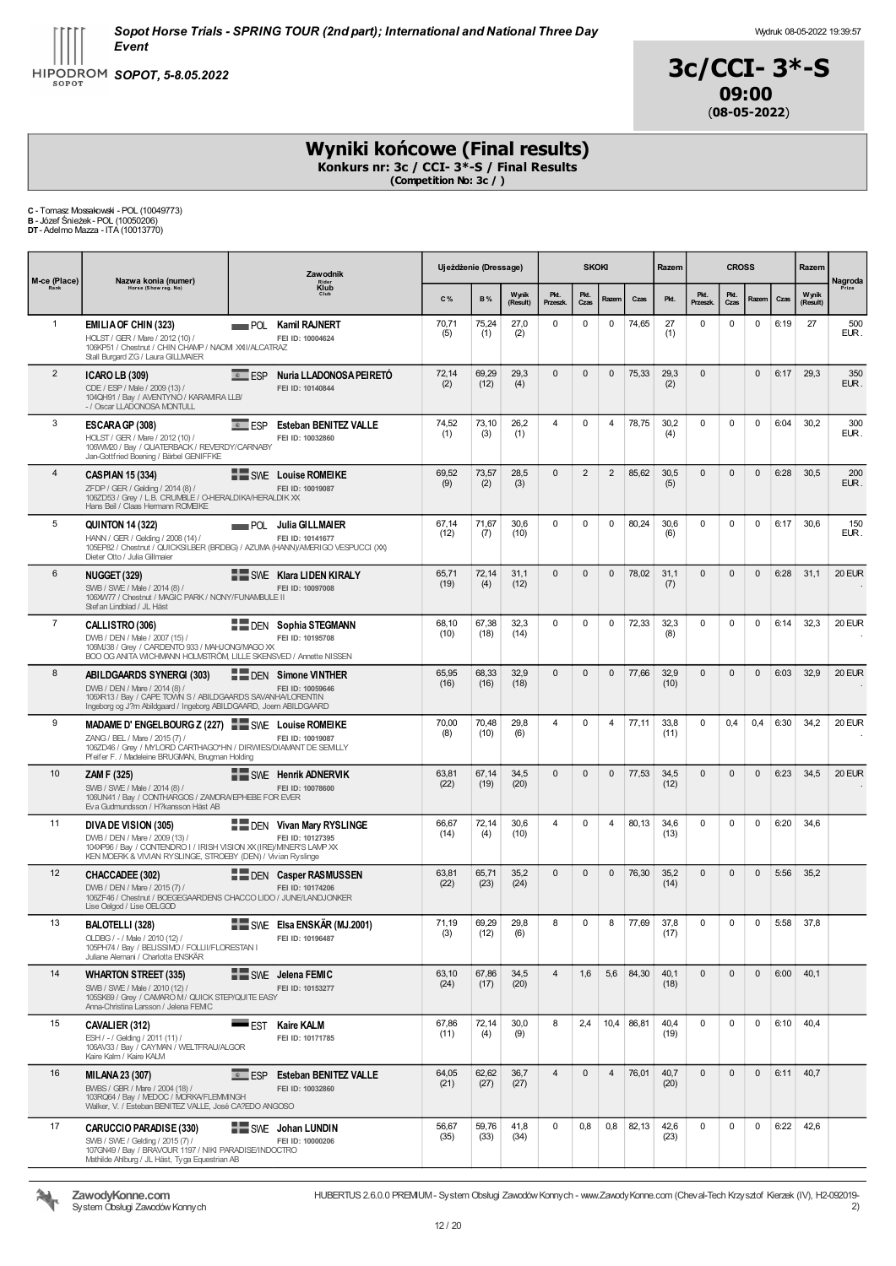



# Wyniki końcowe (Final results)

Konkurs nr: 3c / CCI- 3\*-S / Final Results (Competition No: 3c / )

| C - Tomasz Mossakowski - POL (10049773)   |  |
|-------------------------------------------|--|
| <b>B</b> - Józef Śnieżek - POL (10050206) |  |

B - Józef Śnieżek- POL (10050206) DT- Adelmo Mazza - ITA (10013770)

| M-ce (Place)   | Zawodnik<br>Nazwa konia (numer)<br>Rider<br>Klub<br>Horse (Show reg. No)                                                                                                                                 |           |                                                         | Ujeżdżenie (Dressage) |               |                   | <b>SKOKI</b>     |                |                | Razem |              | <b>CROSS</b>     |              |                     | Razem | Nagroda           |               |
|----------------|----------------------------------------------------------------------------------------------------------------------------------------------------------------------------------------------------------|-----------|---------------------------------------------------------|-----------------------|---------------|-------------------|------------------|----------------|----------------|-------|--------------|------------------|--------------|---------------------|-------|-------------------|---------------|
| Rank           |                                                                                                                                                                                                          |           |                                                         | C%                    | <b>B%</b>     | Wynik<br>(Result) | Pkt.<br>Przeszk. | Pkt.<br>Czas   | Razem          | Czas  | Pkt.         | Pkt.<br>Przeszk. | Pkt.<br>Czas | Razem               | Czas  | Wynik<br>(Result) | Prize         |
| $\mathbf{1}$   | EMILIA OF CHIN (323)<br>HOLST / GER / Mare / 2012 (10) /<br>106KP51 / Chestnut / CHIN CHAMP / NAOM XXII/ALCATRAZ<br>Stall Burgard ZG / Laura GILLMAIER                                                   |           | <b>POL Kamil RAJNERT</b><br>FEI ID: 10004624            | 70,71<br>(5)          | 75,24<br>(1)  | 27,0<br>(2)       | $\mathbf 0$      | 0              | 0              | 74,65 | 27<br>(1)    | 0                | 0            | $\mathbf 0$         | 6:19  | 27                | 500<br>EUR.   |
| $\overline{2}$ | <b>ICARO LB (309)</b><br>CDE / ESP / Male / 2009 (13) /<br>104QH91 / Bay / AVENTYNO / KARAMIRA LLB/<br>-/ Oscar LLADONOSA MONTULL                                                                        | $E = ESP$ | Nuria LLADONOSA PEIRETÓ<br>FEI ID: 10140844             | 72,14<br>(2)          | 69,29<br>(12) | 29,3<br>(4)       | $\mathbf{0}$     | $\mathbf{0}$   | $\mathbf{0}$   | 75,33 | 29,3<br>(2)  | $\mathbf{0}$     |              | $\mathbf{0}$        | 6:17  | 29,3              | 350<br>EUR.   |
| 3              | ESCARA GP (308)<br>HOLST / GER / Mare / 2012 (10) /<br>106WM20 / Bay / QUATERBACK / REVERDY/CARNABY<br>Jan-Gottfried Boening / Bärbel GENIFFKE                                                           | $E = ESP$ | <b>Esteban BENITEZ VALLE</b><br>FEI ID: 10032860        | 74,52<br>(1)          | 73,10<br>(3)  | 26,2<br>(1)       | $\overline{4}$   | 0              | 4              | 78,75 | 30,2<br>(4)  | 0                | 0            | $\mathbf 0$         | 6:04  | 30,2              | 300<br>EUR.   |
| $\overline{4}$ | <b>CASPIAN 15 (334)</b><br>ZFDP / GER / Gelding / 2014 (8) /<br>106ZD53 / Grey / L.B. CRUMBLE / O-HERALDIKA/HERALDIK XX<br>Hans Beil / Claas Hermann ROMEIKE                                             |           | SWE Louise ROMEIKE<br>FEI ID: 10019087                  | 69,52<br>(9)          | 73,57<br>(2)  | 28,5<br>(3)       | $\mathbf{0}$     | $\overline{2}$ | $\overline{2}$ | 85,62 | 30,5<br>(5)  | $\mathbf{0}$     | $\mathbf{0}$ | $\mathbf{0}$        | 6:28  | 30,5              | 200<br>EUR.   |
| 5              | <b>QUINTON 14 (322)</b><br>HANN / GER / Gelding / 2008 (14) /<br>105EP82 / Chestnut / QUICKSILBER (BRDBG) / AZUMA (HANN)/AMERIGO VESPUCCI (XX)<br>Dieter Otto / Julia Gillmaier                          |           | _____ POL  Julia GILLMAIER<br>FEI ID: 10141677          | 67,14<br>(12)         | 71,67<br>(7)  | 30,6<br>(10)      | $\mathbf 0$      | 0              | 0              | 80,24 | 30,6<br>(6)  | 0                | $\mathbf 0$  | $\mathbf 0$         | 6:17  | 30,6              | 150<br>EUR.   |
| 6              | <b>NUGGET (329)</b><br>SWB / SWE / Male / 2014 (8) /<br>106XW77 / Chestnut / MAGIC PARK / NONY/FUNAMBULE II<br>Stef an Lindblad / JL Häst                                                                |           | SWE Klara LIDEN KIRALY<br>FEI ID: 10097008              | 65,71<br>(19)         | 72,14<br>(4)  | 31,1<br>(12)      | $\mathbf{0}$     | $\mathbf{0}$   | 0              | 78,02 | 31,1<br>(7)  | $\mathbf{0}$     | $\mathbf{0}$ | $\mathbf{0}$        | 6:28  | 31,1              | <b>20 EUR</b> |
| $\overline{7}$ | CALLISTRO (306)<br>DWB / DEN / Male / 2007 (15) /<br>106MJ38 / Grey / CARDENTO 933 / MAHJONG/MAGO XX<br>BOO OG ANITA WICHMANN HOLMSTRÖM, LILLE SKENSVED / Annette NISSEN                                 |           | <b>DEN</b> Sophia STEGMANN<br>FEI ID: 10195708          | 68,10<br>(10)         | 67.38<br>(18) | 32,3<br>(14)      | $\mathbf 0$      | 0              | $\mathbf 0$    | 72,33 | 32,3<br>(8)  | 0                | 0            | $\mathbf 0$         | 6:14  | 32,3              | 20 EUR        |
| 8              | <b>ABILDGAARDS SYNERGI (303)</b><br>DWB / DEN / Mare / 2014 (8) /<br>106XR13 / Bay / CAPE TOWN S / ABILDGAARDS SAVANHA/LORENTIN<br>Ingeborg og J?m Abildgaard / Ingeborg ABILDGAARD, Joern ABILDGAARD    |           | <b>DEN</b> Simone VINTHER<br>FEI ID: 10059646           | 65,95<br>(16)         | 68,33<br>(16) | 32,9<br>(18)      | $\mathbf{0}$     | $\mathbf{0}$   | 0              | 77,66 | 32,9<br>(10) | $\mathbf{0}$     | $\mathbf{0}$ | $\mathbf{0}$        | 6:03  | 32,9              | 20 EUR        |
| 9              | MADAME D'ENGELBOURG Z (227) SING Louise ROMEIKE<br>ZANG / BEL / Mare / 2015 (7) /<br>106ZD46 / Grey / MYLORD CARTHAGO*HN / DIRWIES/DIAMANT DE SEMILLY<br>Pfeifer F. / Madeleine BRUGMAN, Brugman Holding |           | FEI ID: 10019087                                        | 70,00<br>(8)          | 70,48<br>(10) | 29,8<br>(6)       | $\overline{4}$   | 0              | 4              | 77,11 | 33,8<br>(11) | 0                | 0,4          | 0,4                 | 6:30  | 34,2              | 20 EUR        |
| 10             | ZAM F (325)<br>SWB / SWE / Male / 2014 (8) /<br>106UN41 / Bay / CONTHARGOS / ZAMORA/EPHEBE FOR EVER<br>Eva Gudmundsson / H?kansson Häst AB                                                               |           | SWE Henrik ADNERVIK<br>FEI ID: 10078600                 | 63,81<br>(22)         | 67,14<br>(19) | 34,5<br>(20)      | $\mathbf{0}$     | $\mathbf{0}$   | 0              | 77,53 | 34,5<br>(12) | $\pmb{0}$        | $\mathbf{0}$ | $\mathsf{O}\xspace$ | 6:23  | 34,5              | 20 EUR        |
| 11             | DIVA DE VISION (305)<br>DWB / DEN / Mare / 2009 (13) /<br>104XP96 / Bay / CONTENDRO I / IRISH VISION XX (IRE)/MNER'S LAMP XX<br>KEN MOERK & VIVIAN RYSLINGE, STROEBY (DEN) / Vivian Ryslinge             |           | DEN Vivan Mary RYSLINGE<br>FEI ID: 10127395             | 66,67<br>(14)         | 72,14<br>(4)  | 30,6<br>(10)      | $\overline{4}$   | 0              | 4              | 80,13 | 34,6<br>(13) | 0                | 0            | 0                   | 6:20  | 34,6              |               |
| 12             | CHACCADEE (302)<br>DWB / DEN / Mare / 2015 (7) /<br>106ZF46 / Chestnut / BOEGEGAARDENS CHACCO LIDO / JUNE/LANDJONKER<br>Lise Oelgod / Lise OELGOD                                                        |           | <b>THE DEN Casper RASMUSSEN</b><br>FEI ID: 10174206     | 63,81<br>(22)         | 65,71<br>(23) | 35,2<br>(24)      | $\mathbf{0}$     | $\mathbf{0}$   | 0              | 76,30 | 35,2<br>(14) | $\mathbf{0}$     | $\mathbf{0}$ | $\mathbf 0$         | 5:56  | 35,2              |               |
| 13             | <b>BALOTELLI (328)</b><br>OLDBG / - / Male / 2010 (12) /<br>105PH74 / Bay / BELISSIMO / FOLLII/FLORESTAN I<br>Juliane Alemani / Charlotta ENSKÄR                                                         |           | SWE Elsa ENSKÄR (MJ.2001)<br>FEI ID: 10196487           | 71.19<br>(3)          | 69.29<br>(12) | 29.8<br>(6)       | 8                | $\Omega$       | 8              | 77.69 | 37.8<br>(17) | $\Omega$         | $\Omega$     | $\mathbf 0$         | 5:58  | 37,8              |               |
| 14             | <b>WHARTON STREET (335)</b><br>SWB / SWE / Male / 2010 (12) /<br>105SK69 / Grev / CAMARO M/ QUICK STEP/QUITE EASY<br>Anna-Christina Larsson / Jelena FEMC                                                |           | SWE Jelena FEMIC<br>FEI ID: 10153277                    | 63,10<br>(24)         | 67,86<br>(17) | 34,5<br>(20)      | $\overline{4}$   | 1,6            | 5,6            | 84,30 | 40,1<br>(18) | $\Omega$         | $\Omega$     | $\mathbf{0}$        | 6:00  | 40,1              |               |
| 15             | CAVALIER (312)<br>ESH / - / Gelding / 2011 (11) /<br>106AV33 / Bay / CAYMAN / WELTFRAU/ALGOR<br>Kaire Kalm / Kaire KALM                                                                                  | EST       | <b>Kaire KALM</b><br>FEI ID: 10171785                   | 67,86<br>(11)         | 72,14<br>(4)  | 30,0<br>(9)       | 8                | 2,4            | 10,4           | 86,81 | 40,4<br>(19) | $\mathbf 0$      | $\mathbf 0$  | $\mathbf 0$         | 6:10  | 40,4              |               |
| 16             | <b>MILANA 23 (307)</b><br>BWBS / GBR / Mare / 2004 (18) /<br>103RQ64 / Bay / MEDOC / MORKA/FLEMMNGH<br>Walker, V. / Esteban BENITEZ VALLE, José CA?EDO ANGOSO                                            |           | <b>E. ESP Esteban BENITEZ VALLE</b><br>FEI ID: 10032860 | 64,05<br>(21)         | 62,62<br>(27) | 36,7<br>(27)      | $\overline{4}$   | $\mathbf{0}$   | $\overline{4}$ | 76,01 | 40,7<br>(20) | $\mathbf{0}$     | $\mathbf{0}$ | $\mathbf{0}$        | 6:11  | 40,7              |               |
| 17             | CARUCCIO PARADISE (330)<br>SWB / SWE / Gelding / 2015 (7) /<br>107GN49 / Bay / BRAVOUR 1197 / NIKI PARADISE/INDOCTRO<br>Mathilde Ahlburg / JL Häst, Tyga Equestrian AB                                   |           | SWE Johan LUNDIN<br>FEI ID: 10000206                    | 56,67<br>(35)         | 59,76<br>(33) | 41,8<br>(34)      | $\mathbf 0$      | 0,8            | 0,8            | 82,13 | 42,6<br>(23) | $\mathbf 0$      | $\mathbf 0$  | $\mathbf 0$         | 6:22  | 42,6              |               |



ZawodyKonne.com System Obsługi Zawodów Konnych HUBERTUS 2.6.0.0 PREMIUM- System Obsługi ZawodówKonnych - www.ZawodyKonne.com (Cheval-Tech Krzysztof Kierzek (IV), H2-092019-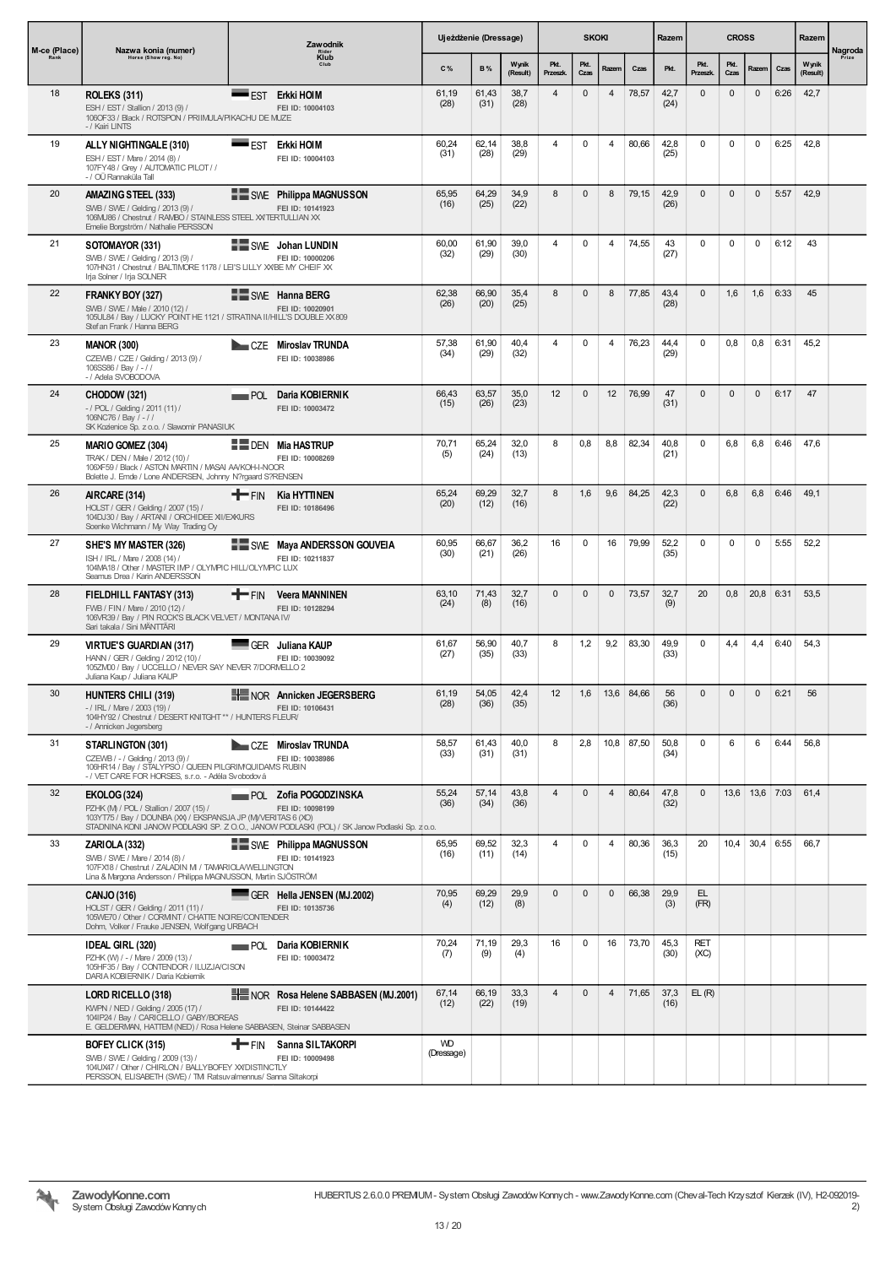| M-ce (Place) | Nazwa konia (numer)                                                                                                                                                                     |              | Zawodnik<br>Rider<br>Klub<br>Club                                                                                                         |                         | Ujeżdżenie (Dressage) |                   |                         | <b>SKOKI</b> |                |            | <b>CROSS</b><br>Razem |                    | Razem        | Nagroda          |      |                   |       |
|--------------|-----------------------------------------------------------------------------------------------------------------------------------------------------------------------------------------|--------------|-------------------------------------------------------------------------------------------------------------------------------------------|-------------------------|-----------------------|-------------------|-------------------------|--------------|----------------|------------|-----------------------|--------------------|--------------|------------------|------|-------------------|-------|
| Rank         | Horse (Show reg. No)                                                                                                                                                                    |              |                                                                                                                                           | C%                      | <b>B%</b>             | Wynik<br>(Result) | Pkt.<br>Przeszk.        | Pkt.<br>Czas | Razem          | Czas       | Pkt.                  | Pkt.<br>Przeszk.   | Pkt.<br>Czas | Razem            | Czas | Wynik<br>(Result) | Prize |
| 18           | <b>ROLEKS (311)</b><br>ESH / EST / Stallion / 2013 (9) /<br>106OF33 / Black / ROTSPON / PRIIMULA/PIKACHU DE MUZE<br>- / Kairi LINTS                                                     |              | ■EST Erkki HOIM<br>FEI ID: 10004103                                                                                                       | 61,19<br>(28)           | 61,43<br>(31)         | 38,7<br>(28)      | 4                       | $\mathbf{0}$ | 4              | 78,57      | 42,7<br>(24)          | $\mathbf 0$        | $\mathbf 0$  | $\mathbf{0}$     | 6:26 | 42,7              |       |
| 19           | ALLY NIGHTINGALE (310)<br>ESH / EST / Mare / 2014 (8) /<br>107FY48 / Grey / AUTOMATIC PILOT / /<br>- / OÜ Rannaküla Tall                                                                | ■EST         | Erkki HOIM<br>FEI ID: 10004103                                                                                                            | 60,24<br>(31)           | 62,14<br>(28)         | 38,8<br>(29)      | 4                       | $\mathbf 0$  | 4              | 80,66      | 42,8<br>(25)          | $\mathbf 0$        | 0            | $\mathbf 0$      | 6:25 | 42,8              |       |
| 20           | AMAZING STEEL (333)<br>SWB / SWE / Gelding / 2013 (9) /<br>106MU86 / Chestnut / RAMBO / STAINLESS STEEL XVTERTULLIAN XX<br>Emelie Borgström / Nathalie PERSSON                          |              | SWE Philippa MAGNUSSON<br>FEI ID: 10141923                                                                                                | 65,95<br>(16)           | 64,29<br>(25)         | 34,9<br>(22)      | 8                       | $\mathbf{0}$ | 8              | 79,15      | 42,9<br>(26)          | $\mathbf{0}$       | $\mathbf{0}$ | $\mathbf{0}$     | 5:57 | 42,9              |       |
| 21           | SOTOMAYOR (331)<br>SWB / SWE / Gelding / 2013 (9) /<br>107HN31 / Chestnut / BALTIMORE 1178 / LEI'S LILLY XXBE MY CHEIF XX<br>Irja Solner / Irja SOLNER                                  |              | SWE Johan LUNDIN<br>FEI ID: 10000206                                                                                                      | 60,00<br>(32)           | 61,90<br>(29)         | 39,0<br>(30)      | 4                       | $\mathbf 0$  | 4              | 74,55      | 43<br>(27)            | 0                  | 0            | 0                | 6:12 | 43                |       |
| 22           | FRANKY BOY (327)<br>SWB / SWE / Male / 2010 (12) /<br>105UL84 / Bay / LUCKY POINT HE 1121 / STRATINA II/HILL'S DOUBLE XX 809<br>Stef an Frank / Hanna BERG                              |              | <b>EXAMPLE Hanna BERG</b><br>FEI ID: 10020901                                                                                             | 62.38<br>(26)           | 66.90<br>(20)         | 35,4<br>(25)      | 8                       | $\mathbf 0$  | 8              | 77,85      | 43.4<br>(28)          | $\mathbf{0}$       | 1,6          | 1,6              | 6:33 | 45                |       |
| 23           | <b>MANOR (300)</b><br>CZEWB / CZE / Gelding / 2013 (9) /<br>106SS86 / Bay / -//<br>-/ Adela SVOBODOVA                                                                                   |              | CZE Miroslav TRUNDA<br>FEI ID: 10038986                                                                                                   | 57,38<br>(34)           | 61,90<br>(29)         | 40,4<br>(32)      | 4                       | $\mathbf 0$  | 4              | 76,23      | 44.4<br>(29)          | 0                  | 0,8          | 0,8              | 6:31 | 45,2              |       |
| 24           | CHODOW (321)<br>- / POL / Gelding / 2011 (11) /<br>106NC76 / Bay / - / /<br>SK Kozienice Sp. z o.o. / Slawomir PANASIUK                                                                 | <b>POL</b>   | Daria KOBIERNIK<br>FEI ID: 10003472                                                                                                       | 66,43<br>(15)           | 63,57<br>(26)         | 35,0<br>(23)      | 12                      | $\mathbf 0$  | 12             | 76,99      | 47<br>(31)            | $\mathbf 0$        | $\mathbf{0}$ | $\mathbf{0}$     | 6:17 | 47                |       |
| 25           | <b>MARIO GOMEZ (304)</b><br>TRAK / DEN / Male / 2012 (10) /<br>106XF59 / Black / ASTON MARTIN / MASAI AA/KOH-I-NOOR<br>Bolette J. Emde / Lone ANDERSEN, Johnny N?rgaard S?RENSEN        |              | <b>EEDEN Mia HASTRUP</b><br>FEI ID: 10008269                                                                                              | 70,71<br>(5)            | 65,24<br>(24)         | 32,0<br>(13)      | 8                       | 0,8          | 8,8            | 82,34      | 40,8<br>(21)          | 0                  | 6,8          | 6,8              | 6:46 | 47,6              |       |
| 26           | AIRCARE (314)<br>HOLST / GER / Gelding / 2007 (15) /<br>104DJ30 / Bay / ARTANI / ORCHIDEE XI/EXKURS<br>Soenke Wichmann / My Way Trading Oy                                              | <b>T</b> FIN | <b>Kia HYTTINEN</b><br>FEI ID: 10186496                                                                                                   | 65,24<br>(20)           | 69,29<br>(12)         | 32,7<br>(16)      | 8                       | 1,6          | 9,6            | 84,25      | 42,3<br>(22)          | $\pmb{0}$          | 6,8          | 6,8              | 6:46 | 49,1              |       |
| 27           | SHE'S MY MASTER (326)<br>ISH / IRL / Mare / 2008 (14) /<br>104MA18 / Other / MASTER IMP / OLYMPIC HILL/OLYMPIC LUX<br>Seamus Drea / Karin ANDERSSON                                     |              | SWE Maya ANDERSSON GOUVEIA<br>FEI ID: 10211837                                                                                            | 60,95<br>(30)           | 66,67<br>(21)         | 36,2<br>(26)      | 16                      | 0            | 16             | 79,99      | 52,2<br>(35)          | 0                  | 0            | 0                | 5:55 | 52,2              |       |
| 28           | FIELDHILL FANTASY (313)<br>FWB / FIN / Mare / 2010 (12) /<br>106VR39 / Bay / PIN ROCK'S BLACK VELVET / MONTANA IV/<br>Sari takala / Sini MÄNTTÄRI                                       | <b>T</b> FIN | <b>Veera MANNINEN</b><br>FEI ID: 10128294                                                                                                 | 63,10<br>(24)           | 71,43<br>(8)          | 32,7<br>(16)      | $\mathbf{0}$            | $\mathbf{0}$ | 0              | 73,57      | 32,7<br>(9)           | 20                 | 0,8          | 20,8 6:31        |      | 53,5              |       |
| 29           | <b>VIRTUE'S GUARDIAN (317)</b><br>HANN / GER / Gelding / 2012 (10) /<br>105ZM00 / Bay / UCCELLO / NEVER SAY NEVER 7/DORMELLO 2<br>Juliana Kaup / Juliana KAUP                           |              | GER Juliana KAUP<br>FEI ID: 10039092                                                                                                      | 61,67<br>(27)           | 56,90<br>(35)         | 40,7<br>(33)      | 8                       | 1,2          | 9,2            | 83,30      | 49,9<br>(33)          | 0                  | 4,4          | 4,4              | 6:40 | 54,3              |       |
| 30           | HUNTERS CHILI (319)<br>$-$ / IRL / Mare / 2003 (19) /<br>104HY92 / Chestnut / DESERT KNITGHT ** / HUNTERS FLEUR/<br>- / Annicken Jegersberg                                             |              | NOR Annicken JEGERSBERG<br>FEI ID: 10106431                                                                                               | 61,19<br>(28)           | 54,05<br>(36)         | 42,4<br>(35)      | 12                      | 1,6          |                | 13,6 84,66 | 56<br>(36)            | 0                  | $\mathbf{0}$ | $\mathbf{0}$     | 6:21 | 56                |       |
| 31           | STARLINGTON (301)<br>CZEWB / - / Gelding / 2013 (9) /<br>106HR14 / Bay / STALYPSO / QUEEN PILGRIM/QUIDAMS RUBIN<br>- / VET CARE FOR HORSES, s.r.o. - Adéla Svobodová                    |              | CZE Miroslav TRUNDA<br>FEI ID: 10038986                                                                                                   | 58,57<br>(33)           | 61,43<br>(31)         | 40,0<br>(31)      | 8                       | 2,8          |                | 10,8 87,50 | 50,8<br>(34)          | $\mathbf 0$        | 6            | 6                | 6:44 | 56,8              |       |
| 32           | <b>EKOLOG (324)</b><br>PZHK (M) / POL / Stallion / 2007 (15) /<br>103YT75 / Bay / DOUNBA (XX) / EKSPANSJA JP (MIVERITAS 6 (XO)                                                          |              | POL Zofia POGODZINSKA<br>FEI ID: 10098199<br>STADNINA KONI JANOW PODLASKI SP. Z O.O., JANOW PODLASKI (POL) / SK Janow Podlaski Sp. z o.o. | 55,24<br>(36)           | 57,14<br>(34)         | 43,8<br>(36)      | $\overline{\mathbf{4}}$ | $\mathbf{0}$ | $\overline{4}$ | 80,64      | 47,8<br>(32)          | $\mathbf{0}$       |              | 13,6 13,6 7:03   |      | 61,4              |       |
| 33           | ZARIOLA (332)<br>SWB / SWE / Mare / 2014 (8) /<br>107FX18 / Chestnut / ZALADIN M / TAMARIOLA/WELLINGTON<br>Lina & Margona Andersson / Philippa MAGNUSSON, Martin SJÖSTRÖM               |              | SWE Philippa MAGNUSSON<br>FEI ID: 10141923                                                                                                | 65,95<br>(16)           | 69,52<br>(11)         | 32,3<br>(14)      | 4                       | $\mathbf 0$  | 4              | 80,36      | 36,3<br>(15)          | 20                 |              | $10,4$ 30,4 6:55 |      | 66,7              |       |
|              | CANJO (316)<br>HOLST / GER / Gelding / 2011 (11) /<br>105WE70 / Other / CORMINT / CHATTE NOIRE/CONTENDER<br>Dohm, Volker / Frauke JENSEN, Wolfgang URBACH                               |              | GER Hella JENSEN (MJ.2002)<br>FEI ID: 10135736                                                                                            | 70,95<br>(4)            | 69,29<br>(12)         | 29,9<br>(8)       | $\mathbf{0}$            | $\mathbf 0$  | 0              | 66,38      | 29,9<br>(3)           | EL.<br>(FR)        |              |                  |      |                   |       |
|              | <b>IDEAL GIRL (320)</b><br>PZHK (W) / - / Mare / 2009 (13) /<br>105HF35 / Bay / CONTENDOR / ILUZJA/CISON<br>DARIA KOBIERNIK / Daria Kobiernik                                           |              | <b>POL</b> Daria KOBIERNIK<br>FEI ID: 10003472                                                                                            | 70,24<br>(7)            | 71,19<br>(9)          | 29,3<br>(4)       | 16                      | $\mathbf 0$  | 16             | 73,70      | 45,3<br>(30)          | <b>RET</b><br>(XC) |              |                  |      |                   |       |
|              | LORD RICELLO (318)<br>KWPN / NED / Gelding / 2005 (17) /<br>104IP24 / Bay / CARICELLO / GABY/BOREAS<br>E. GELDERMAN, HATTEM (NED) / Rosa Helene SABBASEN, Steinar SABBASEN              |              | NOR Rosa Helene SABBASEN (MJ.2001)<br>FEI ID: 10144422                                                                                    | 67,14<br>(12)           | 66,19<br>(22)         | 33,3<br>(19)      | 4                       | $\mathbf 0$  | $\overline{4}$ | 71,65      | 37,3<br>(16)          | EL(R)              |              |                  |      |                   |       |
|              | <b>BOFEY CLICK (315)</b><br>SWB / SWE / Gelding / 2009 (13) /<br>104UX47 / Other / CHIRLON / BALLYBOFEY XXIDISTINCTLY<br>PERSSON, ELISABETH (SWE) / TM Ratsuvalmennus/ Sanna Siltakorpi |              | <b>T</b> FIN Sanna SILTAKORPI<br>FEI ID: 10009498                                                                                         | <b>WD</b><br>(Dressage) |                       |                   |                         |              |                |            |                       |                    |              |                  |      |                   |       |

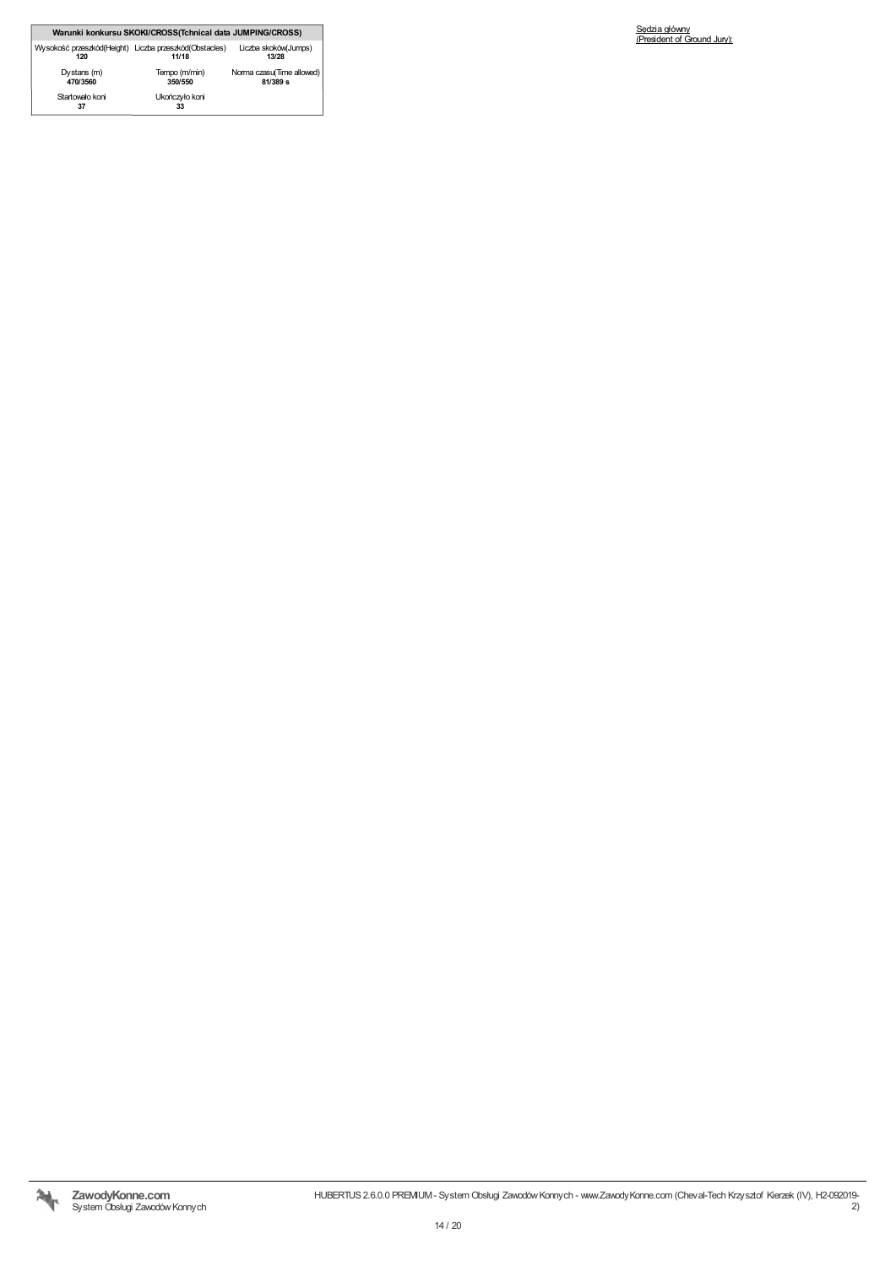|                                                               | Warunki konkursu SKOKI/CROSS(Tchnical data JUMPING/CROSS) |                                         |
|---------------------------------------------------------------|-----------------------------------------------------------|-----------------------------------------|
| Wysokość przeszkód(Height) Liczba przeszkód(Obstacles)<br>120 | 11/18                                                     | Liczba skoków(Jumps)<br>13/28           |
| Dystans (m)<br>470/3560                                       | Tempo (m/min)<br>350/550                                  | Norma czasu(Time allowed)<br>$81/389$ s |
| Startowało koni<br>37                                         | Ukończyło koni<br>33                                      |                                         |

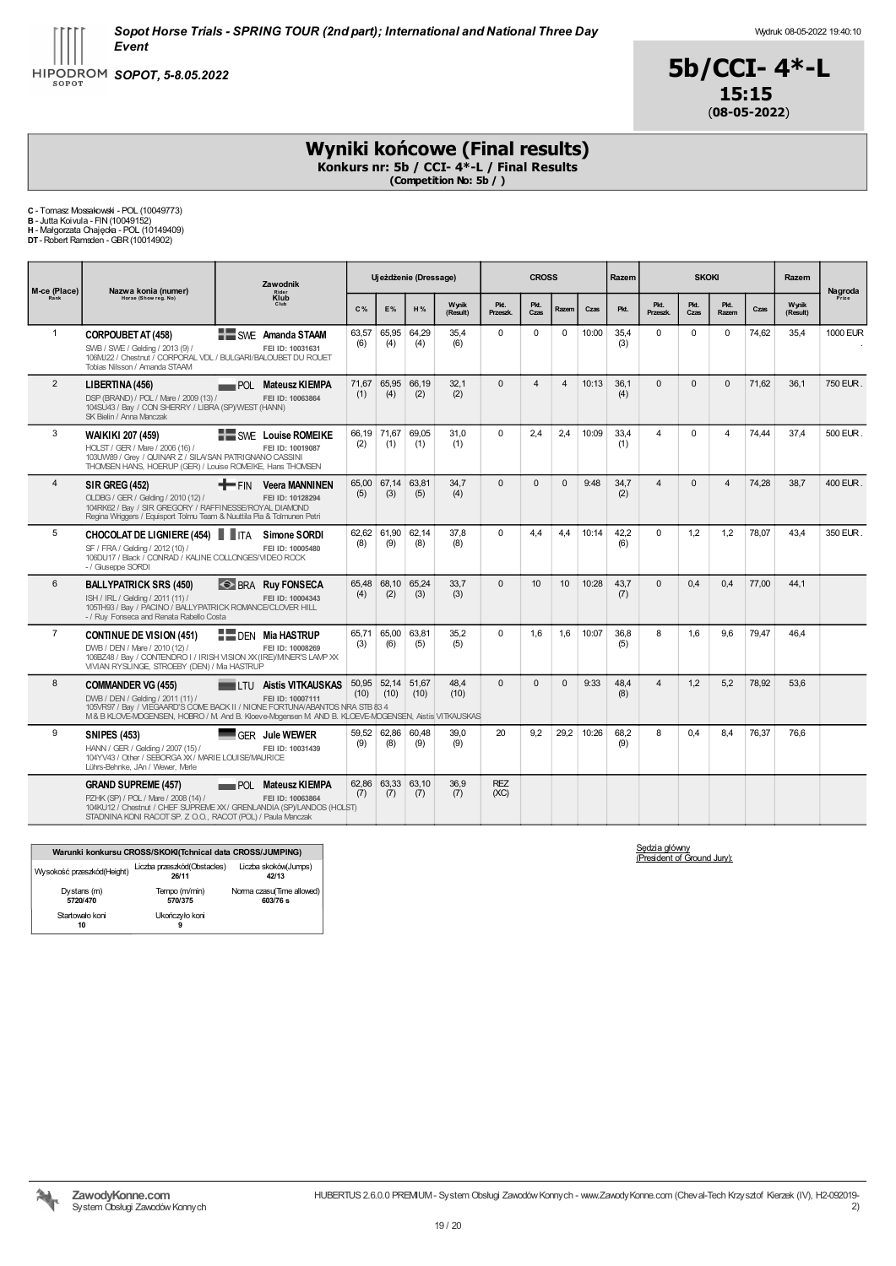



# Wyniki końcowe (Final results)

Konkurs nr: 5b / CCI- 4\*-L / Final Results (Competition No: 5b / )

C - Tomasz Mossakowski - POL (10049773) B - Jutta Koivula - FIN(10049152) H - Małgorzata Chajęcka - POL (10149409) DT-Robert Ramsden -GBR(10014902)

|                |                                                                                                                                                                                                                                                      |                                                         | Zawodnik     |                          |               | Ujeżdżenie (Dressage) |                    |                | <b>CROSS</b>   |       |             | Razem                   |              | <b>SKOKI</b>   |       |                   | Razem            |  |
|----------------|------------------------------------------------------------------------------------------------------------------------------------------------------------------------------------------------------------------------------------------------------|---------------------------------------------------------|--------------|--------------------------|---------------|-----------------------|--------------------|----------------|----------------|-------|-------------|-------------------------|--------------|----------------|-------|-------------------|------------------|--|
| M-ce (Place)   | Nazwa konia (numer)<br>Horse (Show reg. No)                                                                                                                                                                                                          | Rider<br>Klub<br>Club                                   | C%           | <b>E%</b>                | H%            | Wynik<br>(Result)     | Pkt.<br>Przeszk.   | Pkt.<br>Czas   | Razem          | Czas  | Pkt.        | Pkt.<br>Przeszk.        | Pkt.<br>Czas | Pkt.<br>Razem  | Czas  | Wynik<br>(Result) | Nagroda<br>Prize |  |
| $\mathbf{1}$   | <b>CORPOUBET AT (458)</b><br>SWB / SWE / Gelding / 2013 (9) /<br>106MJ22 / Chestnut / CORPORAL VDL / BULGARI/BALOUBET DU ROUET<br>Tobias Nilsson / Amanda STAAM                                                                                      | <b>EXAMPLE Amanda STAAM</b><br>FEI ID: 10031631         | 63.57<br>(6) | 65,95<br>(4)             | 64.29<br>(4)  | 35.4<br>(6)           | $\Omega$           | $\Omega$       | $\Omega$       | 10:00 | 35.4<br>(3) | $\Omega$                | $\Omega$     | $\Omega$       | 74.62 | 35.4              | <b>1000 EUR</b>  |  |
| $\overline{2}$ | LIBERTINA (456)<br>DSP (BRAND) / POL / Mare / 2009 (13) /<br>104SU43 / Bay / CON SHERRY / LIBRA (SP)/WEST (HANN)<br>SK Bielin / Anna Manczak                                                                                                         | POL Mateusz KIEMPA<br>FEI ID: 10063864                  | 71,67<br>(1) | 65,95<br>(4)             | 66,19<br>(2)  | 32,1<br>(2)           | $\Omega$           | $\overline{4}$ | $\overline{4}$ | 10:13 | 36,1<br>(4) | $\Omega$                | $\Omega$     | $\Omega$       | 71,62 | 36,1              | 750 EUR.         |  |
| 3              | WAIKIKI 207 (459)<br>HOLST / GER / Mare / 2006 (16) /<br>103UW89 / Grey / QUINAR Z / SILA/SAN PATRIGNANO CASSINI<br>THOMSEN HANS, HOERUP (GER) / Louise ROMEIKE, Hans THOMSEN                                                                        | <b>NEW SWE</b> Louise ROMEIKE<br>FEI ID: 10019087       | (2)          | 66,19 71,67<br>(1)       | 69.05<br>(1)  | 31.0<br>(1)           | $\Omega$           | 2.4            | 2.4            | 10:09 | 33.4<br>(1) | $\overline{4}$          | $\Omega$     | $\overline{4}$ | 74.44 | 37.4              | 500 EUR.         |  |
| $\overline{4}$ | <b>SIR GREG (452)</b><br>OLDBG / GER / Gelding / 2010 (12) /<br>104RK62 / Bay / SIR GREGORY / RAFFINESSE/ROYAL DIAMOND<br>Regina Wriggers / Equisport Tolmu Team & Nuuttila Pia & Tolmunen Petri                                                     | $+$ FIN<br><b>Veera MANNINEN</b><br>FEI ID: 10128294    | (5)          | 65.00 67.14<br>(3)       | 63.81<br>(5)  | 34.7<br>(4)           | $\Omega$           | $\Omega$       | $\Omega$       | 9:48  | 34.7<br>(2) | $\overline{4}$          | $\Omega$     | $\overline{4}$ | 74.28 | 38.7              | 400 EUR.         |  |
| 5              | <b>CHOCOLAT DE LIGNIERE (454) IF ITA</b><br>SF / FRA / Gelding / 2012 (10) /<br>106DU17 / Black / CONRAD / KALINE COLLONGES/VIDEO ROCK<br>- / Giuseppe SORDI                                                                                         | Simone SORDI<br>FEI ID: 10005480                        | (8)          | 62.62 61.90<br>(9)       | 62.14<br>(8)  | 37.8<br>(8)           | $\Omega$           | 4.4            | 4.4            | 10:14 | 42.2<br>(6) | $\Omega$                | 1.2          | 1.2            | 78.07 | 43.4              | 350 EUR          |  |
| 6              | <b>BALLYPATRICK SRS (450)</b><br>ISH / IRL / Gelding / 2011 (11) /<br>105TH93 / Bay / PACINO / BALLYPATRICK ROMANCE/CLOVER HILL<br>- / Ruy Fonseca and Renata Rabello Costa                                                                          | <b>SP BRA Ruy FONSECA</b><br>FEI ID: 10004343           | (4)          | 65,48 68,10 65,24<br>(2) | (3)           | 33,7<br>(3)           | $\Omega$           | 10             | 10             | 10:28 | 43,7<br>(7) | $\Omega$                | 0.4          | 0.4            | 77,00 | 44,1              |                  |  |
| $\overline{7}$ | <b>CONTINUE DE VISION (451)</b><br>DWB / DEN / Mare / 2010 (12) /<br>106BZ48 / Bay / CONTENDRO I / IRISH VISION XX (IRE)/MINER'S LAMP XX<br>VIVIAN RYSLINGE, STROEBY (DEN) / Ma HASTRUP                                                              | <b>DEN Mia HASTRUP</b><br>FEI ID: 10008269              | (3)          | 65,71 65,00<br>(6)       | 63.81<br>(5)  | 35,2<br>(5)           | $\Omega$           | 1,6            | 1,6            | 10:07 | 36,8<br>(5) | 8                       | 1,6          | 9.6            | 79,47 | 46,4              |                  |  |
| 8              | <b>COMMANDER VG (455)</b><br>DWB / DEN / Geldina / 2011 (11) /<br>105VR97 / Bay / VIEGAARD'S COME BACK II / NIONE FORTUNA/ABANTOS NRA STB 83 4<br>M & B KLOVE-MOGENSEN, HOBRO / M And B. Kloeve-Mogensen M AND B. KLOEVE-MOGENSEN, Aistis VITKAUSKAS | <b>THE EXECUTE AISTS VITKAUSKAS</b><br>FEI ID: 10007111 | (10)         | 50,95 52,14<br>(10)      | 51,67<br>(10) | 48.4<br>(10)          | $\Omega$           | $\Omega$       | $\Omega$       | 9:33  | 48.4<br>(8) | $\overline{\mathbf{A}}$ | 1,2          | 5,2            | 78,92 | 53.6              |                  |  |
| 9              | <b>SNIPES (453)</b><br>HANN / GER / Gelding / 2007 (15) /<br>104YV43 / Other / SEBORGA XX / MARIE LOUISE/MAURICE<br>Lührs-Behnke, JAn / Wewer, Merle                                                                                                 | GFR Jule WEWER<br>FEI ID: 10031439                      | (9)          | 59.52 62.86<br>(8)       | 60.48<br>(9)  | 39.0<br>(9)           | 20                 | 9.2            | 29.2           | 10:26 | 68.2<br>(9) | 8                       | 0.4          | 8.4            | 76.37 | 76.6              |                  |  |
|                | <b>GRAND SUPREME (457)</b><br>PZHK (SP) / POL / Mare / 2008 (14) /<br>104KU12 / Chestnut / CHEF SUPREME XX / GRENLANDIA (SP)/LANDOS (HOLST)<br>STADNINA KONI RACOT SP. Z O.O., RACOT (POL) / Paula Manczak                                           | <b>POL Mateusz KIEMPA</b><br>FEI ID: 10063864           | (7)          | 62.86 63.33 63.10<br>(7) | (7)           | 36.9<br>(7)           | <b>REZ</b><br>(XC) |                |                |       |             |                         |              |                |       |                   |                  |  |

|                            | Warunki konkursu CROSS/SKOKI(Tchnical data CROSS/JUMPING) |                                       |
|----------------------------|-----------------------------------------------------------|---------------------------------------|
| Wysokość przeszkód(Height) | Liczba przeszkód(Obstacles)<br>26/11                      | Liczba skoków(Jumps)<br>42/13         |
| Dystans (m)<br>5720/470    | Tempo (m/min)<br>570/375                                  | Norma czasu(Time allowed)<br>603/76 s |
| Startowało koni<br>10      | Ukończyło koni<br>9                                       |                                       |

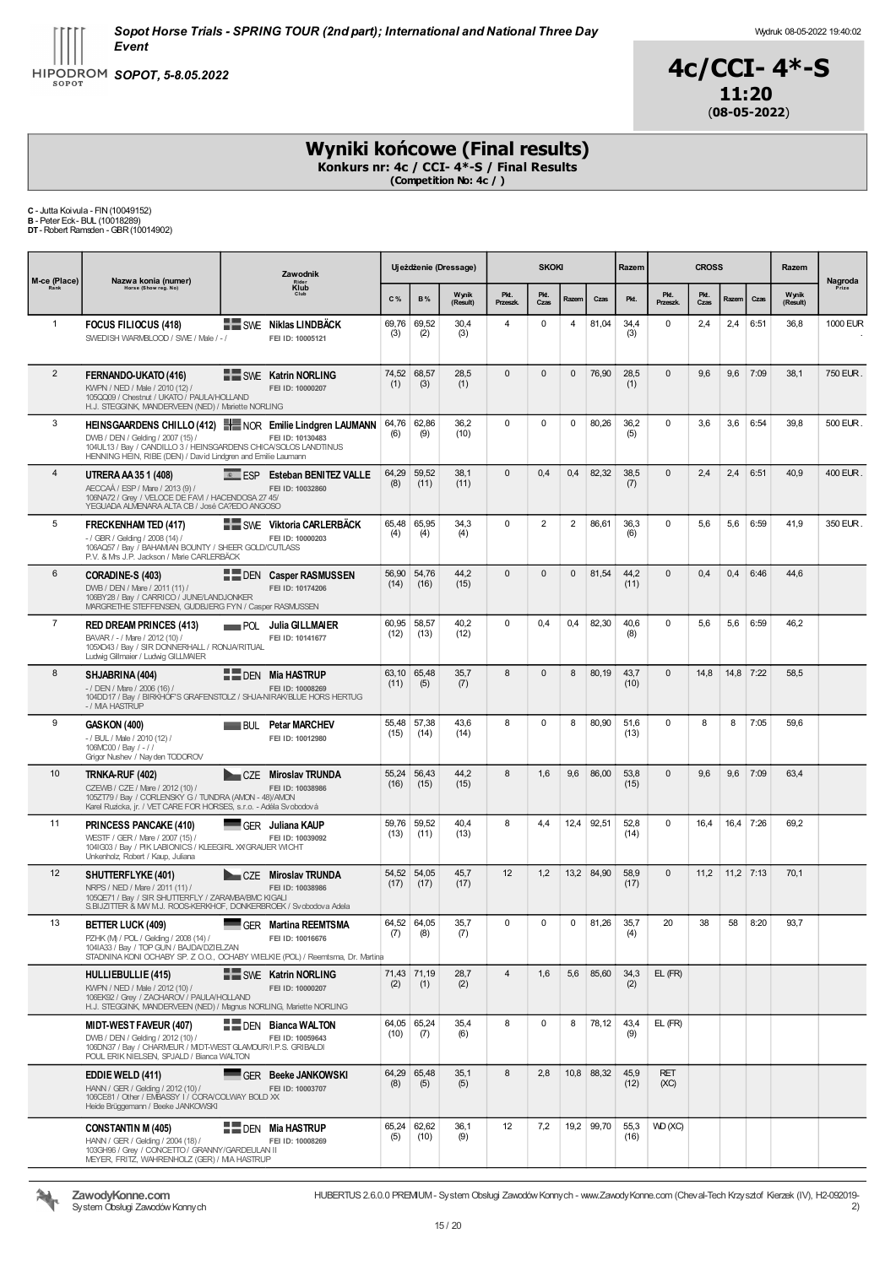



# Wyniki końcowe (Final results)

Konkurs nr: 4c / CCI- 4\*-S / Final Results (Competition No: 4c / )

C - Jutta Koivula - FIN(10049152) B - Peter Eck- BUL (10018289) DT-Robert Ramsden -GBR(10014902)

| M-ce (Place)   | Nazwa konia (numer)                                                                                                                                                                | Zawodnik                                                                                                                  |               |                     | Ujeżdżenie (Dressage) |                  | <b>SKOKI</b>   |              |            | Razem        |                    | <b>CROSS</b> |             |      | Razem             | Nagroda  |
|----------------|------------------------------------------------------------------------------------------------------------------------------------------------------------------------------------|---------------------------------------------------------------------------------------------------------------------------|---------------|---------------------|-----------------------|------------------|----------------|--------------|------------|--------------|--------------------|--------------|-------------|------|-------------------|----------|
| Rank           | Horse (Show reg. No)                                                                                                                                                               | Rider<br>Klub                                                                                                             | C%            | <b>B%</b>           | Wynik<br>(Result)     | Pkt.<br>Przeszk. | Pkt.<br>Czas   | Razem        | Czas       | Pkt.         | Pkt.<br>Przeszk.   | Pkt.<br>Czas | Razem       | Czas | Wynik<br>(Result) | Prize    |
| $\mathbf{1}$   | <b>FOCUS FILIOCUS (418)</b><br>SWEDISH WARMBLOOD / SWE / Male / -/                                                                                                                 | <b>SWE Niklas LINDBACK</b><br>FEI ID: 10005121                                                                            | 69,76<br>(3)  | 69,52<br>(2)        | 30,4<br>(3)           | $\overline{4}$   | 0              | 4            | 81,04      | 34,4<br>(3)  | $\mathbf 0$        | 2,4          | 2,4         | 6:51 | 36,8              | 1000 EUR |
| $\overline{2}$ | FERNANDO-UKATO (416)<br>KWPN / NED / Male / 2010 (12) /<br>105QQ09 / Chestnut / UKATO / PAULA/HOLLAND<br>H.J. STEGGINK, MANDERVEEN (NED) / Mariette NORLING                        | SWE Katrin NORLING<br>FEI ID: 10000207                                                                                    | 74,52<br>(1)  | 68,57<br>(3)        | 28,5<br>(1)           | $\mathbf 0$      | $\mathbf{0}$   | $\mathbf{0}$ | 76,90      | 28,5<br>(1)  | $\mathbf{0}$       | 9,6          | 9,6         | 7:09 | 38,1              | 750 EUR. |
| 3              | DWB / DEN / Gelding / 2007 (15) /<br>104UL13 / Bay / CANDILLO 3 / HEINSGARDENS CHICA/SOLOS LANDTINUS<br>HENNING HEIN, RIBE (DEN) / David Lindgren and Emilie Laumann               | HEINSGAARDENS CHILLO (412) HEINOR Emilie Lindgren LAUMANN<br>FEI ID: 10130483                                             | 64,76<br>(6)  | 62,86<br>(9)        | 36,2<br>(10)          | $\mathbf 0$      | $\mathbf 0$    | 0            | 80,26      | 36,2<br>(5)  | 0                  | 3,6          | 3,6         | 6:54 | 39,8              | 500 EUR. |
| 4              | UTRERA AA 35 1 (408)<br>AECCAÁ / ESP / Mare / 2013 (9) /<br>106NA72 / Grey / VELOCE DE FAVI / HACENDOSA 27 45/<br>YEGUADA ALMENARA ALTA CB / José CA?EDO ANGOSO                    | <b>EXECUTE: ESP</b> Esteban BENITEZ VALLE<br>FEI ID: 10032860                                                             | 64,29<br>(8)  | 59.52<br>(11)       | 38,1<br>(11)          | $\mathbf 0$      | 0,4            | 0,4          | 82,32      | 38,5<br>(7)  | $\mathbf{0}$       | 2,4          | 2,4         | 6:51 | 40,9              | 400 EUR. |
| 5              | <b>FRECKENHAM TED (417)</b><br>- / GBR / Gelding / 2008 (14) /<br>106AQ57 / Bay / BAHAMIAN BOUNTY / SHEER GOLD/CUTLASS<br>P.V. & Mrs J.P. Jackson / Marie CARLERBÄCK               | SWE Viktoria CARLERBACK<br>FEI ID: 10000203                                                                               | 65,48<br>(4)  | 65,95<br>(4)        | 34,3<br>(4)           | $\mathbf 0$      | $\overline{2}$ | 2            | 86,61      | 36.3<br>(6)  | 0                  | 5,6          | 5,6         | 6:59 | 41,9              | 350 EUR  |
| 6              | CORADINE-S (403)<br>DWB / DEN / Mare / 2011 (11) /<br>106BY28 / Bay / CARRICO / JUNE/LANDJONKER<br>MARGRETHE STEFFENSEN, GUDBJERG FYN / Casper RASMUSSEN                           | <b>FILE DEN Casper RASMUSSEN</b><br>FEI ID: 10174206                                                                      | 56,90<br>(14) | 54,76<br>(16)       | 44,2<br>(15)          | $\mathbf{0}$     | 0              | 0            | 81,54      | 44,2<br>(11) | 0                  | 0,4          | 0,4         | 6:46 | 44,6              |          |
| $\overline{7}$ | <b>RED DREAM PRINCES (413)</b><br>BAVAR / - / Mare / 2012 (10) /<br>105XO43 / Bay / SIR DONNERHALL / RONJA/RITUAL<br>Ludwig Gillmaier / Ludwig GILLMAIER                           | Julia GILLMAIER<br><b>POL</b><br>FEI ID: 10141677                                                                         | 60,95<br>(12) | 58,57<br>(13)       | 40,2<br>(12)          | $\mathbf 0$      | 0,4            | 0,4          | 82,30      | 40,6<br>(8)  | $\mathbf 0$        | 5,6          | 5,6         | 6:59 | 46,2              |          |
| 8              | SHJABRINA (404)<br>- / DEN / Mare / 2006 (16) /<br>- / MA HASTRUP                                                                                                                  | <b>E</b> DEN Mia HASTRUP<br>FEI ID: 10008269<br>104DD17 / Bay / BIRKHOF'S GRAFENSTOLZ / SHJA-NIRAK/BLUE HORS HERTUG       | 63,10<br>(11) | 65,48<br>(5)        | 35,7<br>(7)           | 8                | 0              | 8            | 80,19      | 43,7<br>(10) | $\mathbf{0}$       | 14,8         | 14,8 7:22   |      | 58,5              |          |
| 9              | GASKON (400)<br>- / BUL / Male / 2010 (12) /<br>106MC00 / Bay / -//<br>Grigor Nushev / Nay den TODOROV                                                                             | <b>Petar MARCHEV</b><br><b>BUL</b><br>FEI ID: 10012980                                                                    | 55,48<br>(15) | 57,38<br>(14)       | 43,6<br>(14)          | 8                | 0              | 8            | 80,90      | 51,6<br>(13) | 0                  | 8            | 8           | 7:05 | 59,6              |          |
| 10             | TRNKA-RUF (402)<br>CZEWB / CZE / Mare / 2012 (10) /<br>105ZT79 / Bay / CORLENSKY G / TUNDRA (AMON - 48)/AMON<br>Karel Ruzicka, jr. / VET CARE FOR HORSES, s.r.o. - Adéla Svobodová | CZE Miroslav TRUNDA<br>FEI ID: 10038986                                                                                   | 55,24<br>(16) | 56,43<br>(15)       | 44,2<br>(15)          | 8                | 1,6            | 9,6          | 86,00      | 53,8<br>(15) | $\mathbf{0}$       | 9,6          | 9,6         | 7:09 | 63,4              |          |
| 11             | PRINCESS PANCAKE (410)<br>WESTF / GER / Mare / 2007 (15) /<br>1041G03 / Bay / PIK LABIONICS / KLEEGIRL XX GRAUER WICHT<br>Unkenholz, Robert / Kaup, Juliana                        | GER<br>Juliana KAUP<br>FEI ID: 10039092                                                                                   | 59,76<br>(13) | 59,52<br>(11)       | 40,4<br>(13)          | 8                | 4,4            | 12,4         | 92,51      | 52,8<br>(14) | 0                  | 16,4         | 16,4        | 7:26 | 69,2              |          |
| 12             | SHUTTERFLYKE (401)<br>NRPS / NED / Mare / 2011 (11) /<br>105QE71 / Bay / SIR SHUTTERFLY / ZARAMBA/BMC KIGALI<br>S.BIJZITTER & MV M.J. ROOS-KERKHOF, DONKERBROEK / Svobodova Adela  | CZE Miroslav TRUNDA<br>FEI ID: 10038986                                                                                   | (17)          | 54,52 54,05<br>(17) | 45,7<br>(17)          | 12               | 1,2            |              | 13,2 84,90 | 58,9<br>(17) | $\mathbf{0}$       | 11,2         | $11,2$ 7:13 |      | 70,1              |          |
| 13             | <b>BETTER LUCK (409)</b><br>PZHK (M) / POL / Gelding / 2008 (14) /<br>104IA33 / Bay / TOP GUN / BAJDA/DZIELZAN                                                                     | GER Martina REEMTSMA<br>FEI ID: 10016676<br>STADNINA KONI OCHABY SP. Z O.O., OCHABY WIELKIE (POL) / Reemtsma, Dr. Martina | 64,52<br>(7)  | 64,05<br>(8)        | 35,7<br>(7)           | $\mathbf 0$      | 0              | 0            | 81,26      | 35,7<br>(4)  | 20                 | 38           | 58          | 8:20 | 93,7              |          |
|                | HULLIEBULLIE (415)<br>KWPN / NED / Male / 2012 (10) /<br>106EK92 / Grey / ZACHAROV / PAULA/HOLLAND<br>H.J. STEGGINK, MANDERVEEN (NED) / Magnus NORLING, Mariette NORLING           | SWE Katrin NORLING<br>FEI ID: 10000207                                                                                    | (2)           | 71,43 71,19<br>(1)  | 28,7<br>(2)           | $\overline{4}$   | 1,6            | 5,6          | 85,60      | 34,3<br>(2)  | $EL$ ( $FR$ )      |              |             |      |                   |          |
|                | <b>MIDT-WEST FAVEUR (407)</b><br>DWB / DEN / Gelding / 2012 (10) /<br>106DN37 / Bay / CHARMEUR / MIDT-WEST GLAMOUR/I.P.S. GRIBALDI<br>POUL ERIK NIELSEN. SPJALD / Bianca WALTON    | <b>DEN</b> Bianca WALTON<br>FEI ID: 10059643                                                                              | (10)          | 64,05 65,24<br>(7)  | 35,4<br>(6)           | 8                | 0              | 8            | 78,12      | 43,4<br>(9)  | EL (FR)            |              |             |      |                   |          |
|                | <b>EDDIE WELD (411)</b><br>HANN / GER / Gelding / 2012 (10) /<br>106CE81 / Other / EMBASSY I / CORA/COLWAY BOLD XX<br>Heide Brüggemann / Beeke JANKOWSKI                           | GFR Beeke JANKOWSKI<br>FEI ID: 10003707                                                                                   | (8)           | 64,29 65,48<br>(5)  | 35,1<br>(5)           | 8                | 2.8            |              | 10,8 88,32 | 45,9<br>(12) | <b>RET</b><br>(XC) |              |             |      |                   |          |
|                | <b>CONSTANTIN M (405)</b><br>HANN / GER / Gelding / 2004 (18) /<br>103GH96 / Grey / CONCETTO / GRANNY/GARDEULAN II<br>MEYER, FRITZ, WAHRENHOLZ (GER) / MA HASTRUP                  | <b>NE DEN Mia HASTRUP</b><br>FEI ID: 10008269                                                                             | (5)           | 65,24 62,62<br>(10) | 36,1<br>(9)           | 12               | 7,2            |              | 19,2 99,70 | 55,3<br>(16) | VVD (XC)           |              |             |      |                   |          |

HUBERTUS 2.6.0.0 PREMIUM- System Obsługi ZawodówKonnych - www.ZawodyKonne.com (Cheval-Tech Krzysztof Kierzek (IV), H2-092019-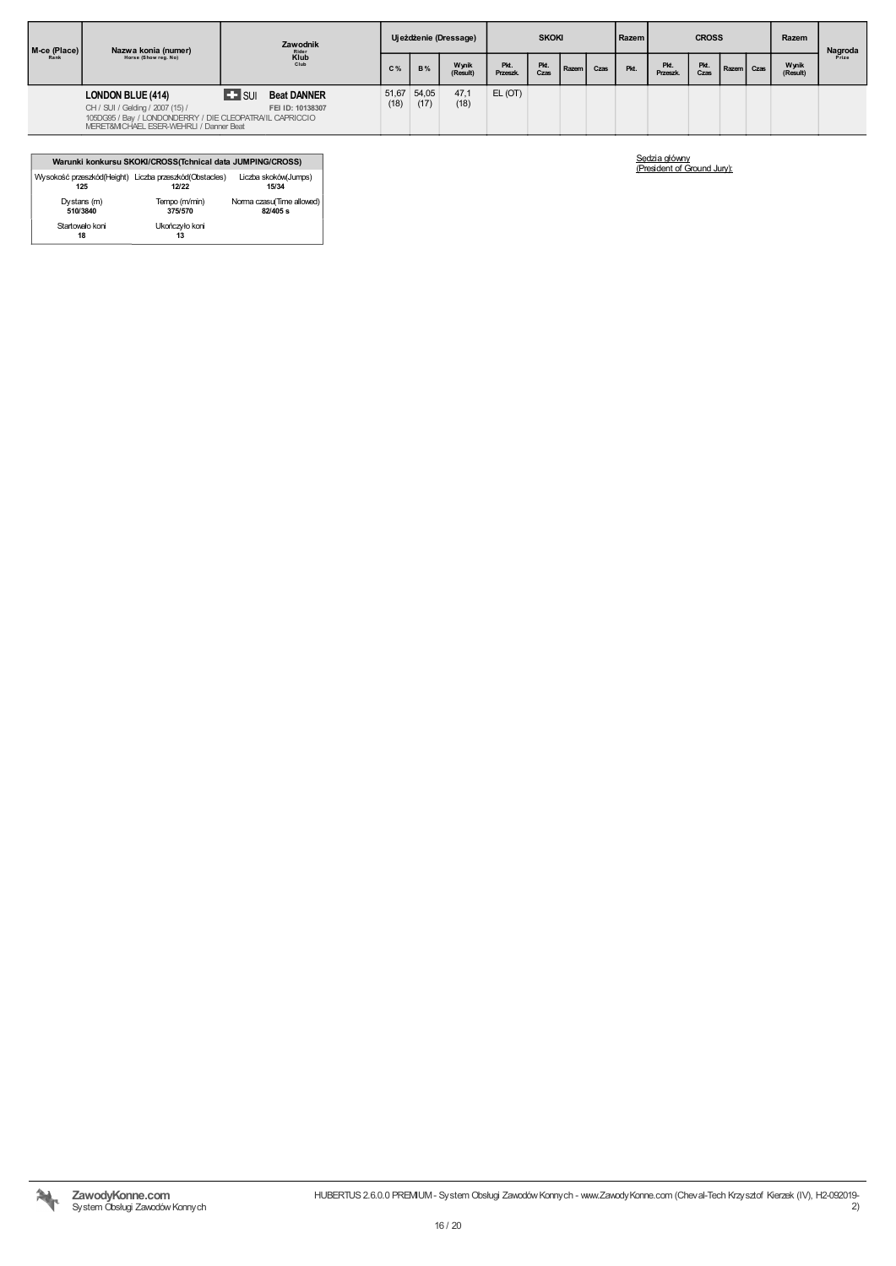| M-ce (Place)<br>Rank | Nazwa konia (numer)<br>Horse (Show reg. No)                                                                                            | Zawodnik                                        |                | Ujeżdżenie (Dressage) |                   | <b>SKOKI</b>            |              |       | Razem |      |                        | <b>CROSS</b> |            |  | Nagroda           |       |
|----------------------|----------------------------------------------------------------------------------------------------------------------------------------|-------------------------------------------------|----------------|-----------------------|-------------------|-------------------------|--------------|-------|-------|------|------------------------|--------------|------------|--|-------------------|-------|
|                      |                                                                                                                                        | $\overset{Rider}{\underset{Club}{\text{Klub}}}$ | C <sub>%</sub> | <b>B%</b>             | Wynik<br>(Result) | Pkt.<br><b>Przeszk.</b> | Pkt.<br>Czas | Razem | Czas  | Pkt. | Pkt.<br><b>Przeszk</b> | Pkt.<br>Czas | Razem Czas |  | Wynik<br>(Result) | Prize |
|                      | <b>LONDON BLUE (414)</b>                                                                                                               | $\blacktriangle$ surf<br><b>Beat DANNER</b>     | 51,67          | 54,05                 | 47,1              | EL(OT)                  |              |       |       |      |                        |              |            |  |                   |       |
|                      | CH / SUI / Gelding / 2007 (15) /<br>105DG95 / Bay / LONDONDERRY / DIE CLEOPATRA/IL CAPRICCIO<br>MERET&MCHAEL ESER-WEHRLI / Danner Beat | FEI ID: 10138307                                | (18)           | (17)                  | (18)              |                         |              |       |       |      |                        |              |            |  |                   |       |

|                                                               | Warunki konkursu SKOKI/CROSS(Tchnical data JUMPING/CROSS) |                                         |
|---------------------------------------------------------------|-----------------------------------------------------------|-----------------------------------------|
| Wysokość przeszkód(Height) Liczba przeszkód(Obstacles)<br>125 | 12/22                                                     | Liczba skoków(Jumps)<br>15/34           |
| Dystans (m)<br>510/3840                                       | Tempo (m/min)<br>375/570                                  | Norma czasu(Time allowed)<br>$82/405$ s |
| Startowało koni<br>18                                         | Ukończyło koni<br>13                                      |                                         |